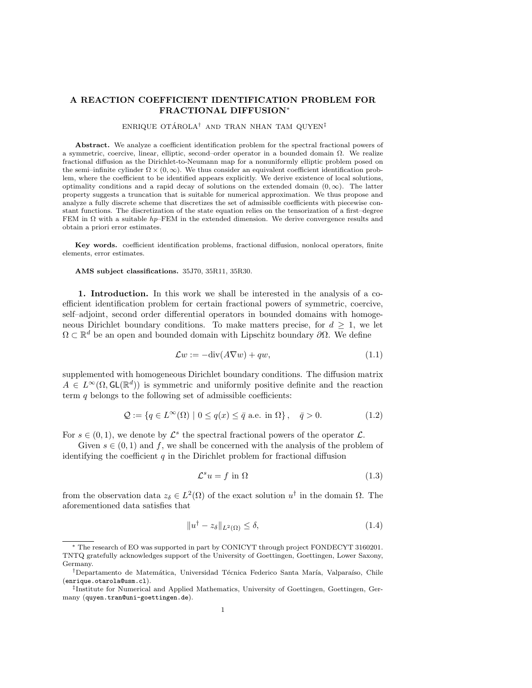# A REACTION COEFFICIENT IDENTIFICATION PROBLEM FOR FRACTIONAL DIFFUSION<sup>∗</sup>

## ENRIQUE OTÁROLA<sup>†</sup> AND TRAN NHAN TAM QUYEN<sup>‡</sup>

Abstract. We analyze a coefficient identification problem for the spectral fractional powers of a symmetric, coercive, linear, elliptic, second–order operator in a bounded domain  $Ω$ . We realize fractional diffusion as the Dirichlet-to-Neumann map for a nonuniformly elliptic problem posed on the semi–infinite cylinder  $\Omega \times (0, \infty)$ . We thus consider an equivalent coefficient identification problem, where the coefficient to be identified appears explicitly. We derive existence of local solutions, optimality conditions and a rapid decay of solutions on the extended domain  $(0, \infty)$ . The latter property suggests a truncation that is suitable for numerical approximation. We thus propose and analyze a fully discrete scheme that discretizes the set of admissible coefficients with piecewise constant functions. The discretization of the state equation relies on the tensorization of a first–degree FEM in  $\Omega$  with a suitable hp–FEM in the extended dimension. We derive convergence results and obtain a priori error estimates.

Key words. coefficient identification problems, fractional diffusion, nonlocal operators, finite elements, error estimates.

AMS subject classifications. 35J70, 35R11, 35R30.

1. Introduction. In this work we shall be interested in the analysis of a coefficient identification problem for certain fractional powers of symmetric, coercive, self–adjoint, second order differential operators in bounded domains with homogeneous Dirichlet boundary conditions. To make matters precise, for  $d \geq 1$ , we let  $\Omega \subset \mathbb{R}^d$  be an open and bounded domain with Lipschitz boundary  $\partial \Omega$ . We define

$$
\mathcal{L}w := -\text{div}(A\nabla w) + qw,\tag{1.1}
$$

supplemented with homogeneous Dirichlet boundary conditions. The diffusion matrix  $A \in L^{\infty}(\Omega, \mathsf{GL}(\mathbb{R}^d))$  is symmetric and uniformly positive definite and the reaction term  $q$  belongs to the following set of admissible coefficients:

$$
\mathcal{Q} := \{ q \in L^{\infty}(\Omega) \mid 0 \le q(x) \le \bar{q} \text{ a.e. in } \Omega \}, \quad \bar{q} > 0. \tag{1.2}
$$

For  $s \in (0,1)$ , we denote by  $\mathcal{L}^s$  the spectral fractional powers of the operator  $\mathcal{L}$ .

Given  $s \in (0,1)$  and f, we shall be concerned with the analysis of the problem of identifying the coefficient  $q$  in the Dirichlet problem for fractional diffusion

<span id="page-0-0"></span>
$$
\mathcal{L}^s u = f \text{ in } \Omega \tag{1.3}
$$

from the observation data  $z_{\delta} \in L^2(\Omega)$  of the exact solution  $u^{\dagger}$  in the domain  $\Omega$ . The aforementioned data satisfies that

$$
||u^{\dagger} - z_{\delta}||_{L^{2}(\Omega)} \leq \delta,
$$
\n(1.4)

<sup>∗</sup> The research of EO was supported in part by CONICYT through project FONDECYT 3160201. TNTQ gratefully acknowledges support of the University of Goettingen, Goettingen, Lower Saxony, Germany.

<sup>&</sup>lt;sup>†</sup>Departamento de Matemática, Universidad Técnica Federico Santa María, Valparaíso, Chile (enrique.otarola@usm.cl).

<sup>‡</sup> Institute for Numerical and Applied Mathematics, University of Goettingen, Goettingen, Germany (quyen.tran@uni-goettingen.de).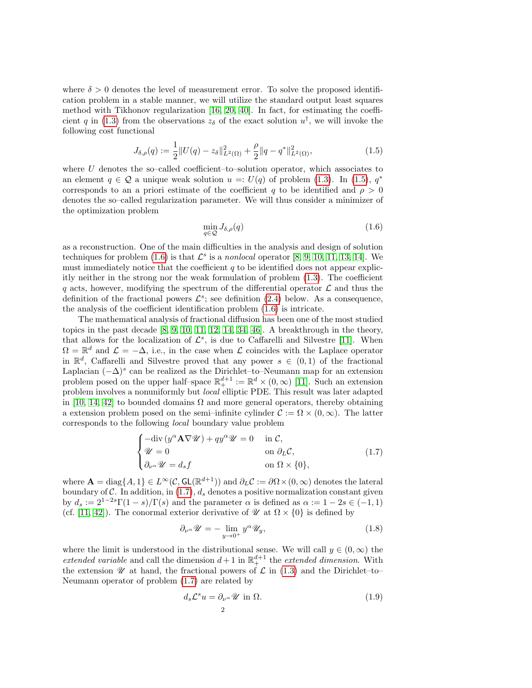where  $\delta > 0$  denotes the level of measurement error. To solve the proposed identification problem in a stable manner, we will utilize the standard output least squares method with Tikhonov regularization [\[16,](#page-23-0) [20,](#page-23-1) [40\]](#page-24-0). In fact, for estimating the coeffi-cient q in [\(1.3\)](#page-0-0) from the observations  $z_{\delta}$  of the exact solution  $u^{\dagger}$ , we will invoke the following cost functional

<span id="page-1-0"></span>
$$
J_{\delta,\rho}(q) := \frac{1}{2} ||U(q) - z_{\delta}||_{L^{2}(\Omega)}^{2} + \frac{\rho}{2} ||q - q^{*}||_{L^{2}(\Omega)}^{2},
$$
\n(1.5)

where  $U$  denotes the so-called coefficient–to–solution operator, which associates to an element  $q \in \mathcal{Q}$  a unique weak solution  $u =: U(q)$  of problem [\(1.3\)](#page-0-0). In [\(1.5\)](#page-1-0),  $q^*$ corresponds to an a priori estimate of the coefficient q to be identified and  $\rho > 0$ denotes the so–called regularization parameter. We will thus consider a minimizer of the optimization problem

<span id="page-1-1"></span>
$$
\min_{q \in \mathcal{Q}} J_{\delta,\rho}(q) \tag{1.6}
$$

as a reconstruction. One of the main difficulties in the analysis and design of solution techniques for problem [\(1.6\)](#page-1-1) is that  $\mathcal{L}^s$  is a nonlocal operator [\[8,](#page-23-2) [9,](#page-23-3) [10,](#page-23-4) [11,](#page-23-5) [13,](#page-23-6) [14\]](#page-23-7). We must immediately notice that the coefficient  $q$  to be identified does not appear explicitly neither in the strong nor the weak formulation of problem [\(1.3\)](#page-0-0). The coefficient q acts, however, modifying the spectrum of the differential operator  $\mathcal L$  and thus the definition of the fractional powers  $\mathcal{L}^s$ ; see definition [\(2.4\)](#page-3-0) below. As a consequence, the analysis of the coefficient identification problem [\(1.6\)](#page-1-1) is intricate.

The mathematical analysis of fractional diffusion has been one of the most studied topics in the past decade  $[8, 9, 10, 11, 12, 14, 34, 46]$  $[8, 9, 10, 11, 12, 14, 34, 46]$  $[8, 9, 10, 11, 12, 14, 34, 46]$  $[8, 9, 10, 11, 12, 14, 34, 46]$  $[8, 9, 10, 11, 12, 14, 34, 46]$  $[8, 9, 10, 11, 12, 14, 34, 46]$  $[8, 9, 10, 11, 12, 14, 34, 46]$  $[8, 9, 10, 11, 12, 14, 34, 46]$ . A breakthrough in the theory, that allows for the localization of  $\mathcal{L}^s$ , is due to Caffarelli and Silvestre [\[11\]](#page-23-5). When  $\Omega = \mathbb{R}^d$  and  $\mathcal{L} = -\Delta$ , i.e., in the case when  $\mathcal L$  coincides with the Laplace operator in  $\mathbb{R}^d$ , Caffarelli and Silvestre proved that any power  $s \in (0,1)$  of the fractional Laplacian  $(-\Delta)^s$  can be realized as the Dirichlet–to–Neumann map for an extension problem posed on the upper half–space  $\mathbb{R}^{d+1}_+ := \mathbb{R}^d \times (0, \infty)$  [\[11\]](#page-23-5). Such an extension problem involves a nonuniformly but local elliptic PDE. This result was later adapted in [\[10,](#page-23-4) [14,](#page-23-7) [42\]](#page-24-3) to bounded domains  $\Omega$  and more general operators, thereby obtaining a extension problem posed on the semi–infinite cylinder  $\mathcal{C} := \Omega \times (0, \infty)$ . The latter corresponds to the following local boundary value problem

<span id="page-1-2"></span>
$$
\begin{cases}\n-\text{div}\left(y^{\alpha}\mathbf{A}\nabla\mathscr{U}\right) + qy^{\alpha}\mathscr{U} = 0 & \text{in } \mathcal{C}, \\
\mathscr{U} = 0 & \text{on } \partial_L \mathcal{C}, \\
\partial_{\nu^{\alpha}}\mathscr{U} = d_s f & \text{on } \Omega \times \{0\},\n\end{cases}
$$
\n(1.7)

where  $\mathbf{A} = \text{diag}\{A, 1\} \in L^{\infty}(\mathcal{C}, GL(\mathbb{R}^{d+1}))$  and  $\partial_L \mathcal{C} := \partial \Omega \times (0, \infty)$  denotes the lateral boundary of C. In addition, in [\(1.7\)](#page-1-2),  $d_s$  denotes a positive normalization constant given by  $d_s := 2^{1-2s}\Gamma(1-s)/\Gamma(s)$  and the parameter  $\alpha$  is defined as  $\alpha := 1-2s \in (-1,1)$ (cf. [\[11,](#page-23-5) [42\]](#page-24-3)). The conormal exterior derivative of  $\mathcal{U}$  at  $\Omega \times \{0\}$  is defined by

$$
\partial_{\nu^{\alpha}} \mathscr{U} = -\lim_{y \to 0^{+}} y^{\alpha} \mathscr{U}_{y}, \tag{1.8}
$$

where the limit is understood in the distributional sense. We will call  $y \in (0, \infty)$  the extended variable and call the dimension  $d+1$  in  $\mathbb{R}^{d+1}_+$  the extended dimension. With the extension  $\mathscr U$  at hand, the fractional powers of  $\mathscr L$  in [\(1.3\)](#page-0-0) and the Dirichlet–to– Neumann operator of problem [\(1.7\)](#page-1-2) are related by

$$
d_s \mathcal{L}^s u = \partial_{\nu^\alpha} \mathcal{U} \text{ in } \Omega. \tag{1.9}
$$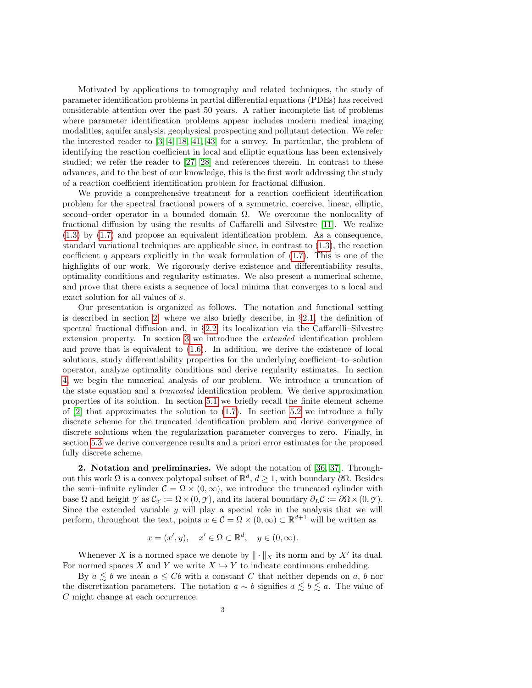Motivated by applications to tomography and related techniques, the study of parameter identification problems in partial differential equations (PDEs) has received considerable attention over the past 50 years. A rather incomplete list of problems where parameter identification problems appear includes modern medical imaging modalities, aquifer analysis, geophysical prospecting and pollutant detection. We refer the interested reader to [\[3,](#page-23-9) [4,](#page-23-10) [18,](#page-23-11) [41,](#page-24-4) [43\]](#page-24-5) for a survey. In particular, the problem of identifying the reaction coefficient in local and elliptic equations has been extensively studied; we refer the reader to [\[27,](#page-24-6) [28\]](#page-24-7) and references therein. In contrast to these advances, and to the best of our knowledge, this is the first work addressing the study of a reaction coefficient identification problem for fractional diffusion.

We provide a comprehensive treatment for a reaction coefficient identification problem for the spectral fractional powers of a symmetric, coercive, linear, elliptic, second–order operator in a bounded domain  $\Omega$ . We overcome the nonlocality of fractional diffusion by using the results of Caffarelli and Silvestre [\[11\]](#page-23-5). We realize [\(1.3\)](#page-0-0) by [\(1.7\)](#page-1-2) and propose an equivalent identification problem. As a consequence, standard variational techniques are applicable since, in contrast to [\(1.3\)](#page-0-0), the reaction coefficient q appears explicitly in the weak formulation of  $(1.7)$ . This is one of the highlights of our work. We rigorously derive existence and differentiability results, optimality conditions and regularity estimates. We also present a numerical scheme, and prove that there exists a sequence of local minima that converges to a local and exact solution for all values of s.

Our presentation is organized as follows. The notation and functional setting is described in section [2,](#page-2-0) where we also briefly describe, in  $\S 2.1$ , the definition of spectral fractional diffusion and, in §[2.2,](#page-4-0) its localization via the Caffarelli–Silvestre extension property. In section [3](#page-5-0) we introduce the extended identification problem and prove that is equivalent to [\(1.6\)](#page-1-1). In addition, we derive the existence of local solutions, study differentiability properties for the underlying coefficient–to–solution operator, analyze optimality conditions and derive regularity estimates. In section [4,](#page-11-0) we begin the numerical analysis of our problem. We introduce a truncation of the state equation and a truncated identification problem. We derive approximation properties of its solution. In section [5.1](#page-16-0) we briefly recall the finite element scheme of  $[2]$  that approximates the solution to  $(1.7)$ . In section [5.2](#page-17-0) we introduce a fully discrete scheme for the truncated identification problem and derive convergence of discrete solutions when the regularization parameter converges to zero. Finally, in section [5.3](#page-20-0) we derive convergence results and a priori error estimates for the proposed fully discrete scheme.

<span id="page-2-0"></span>2. Notation and preliminaries. We adopt the notation of [\[36,](#page-24-8) [37\]](#page-24-9). Throughout this work  $\Omega$  is a convex polytopal subset of  $\mathbb{R}^d$ ,  $d \geq 1$ , with boundary  $\partial\Omega$ . Besides the semi–infinite cylinder  $C = \Omega \times (0, \infty)$ , we introduce the truncated cylinder with base  $\Omega$  and height  $\gamma$  as  $\mathcal{C}_{\gamma} := \Omega \times (0, \gamma)$ , and its lateral boundary  $\partial_L \mathcal{C} := \partial \Omega \times (0, \gamma)$ . Since the extended variable  $y$  will play a special role in the analysis that we will perform, throughout the text, points  $x \in \mathcal{C} = \Omega \times (0, \infty) \subset \mathbb{R}^{d+1}$  will be written as

$$
x = (x', y), \quad x' \in \Omega \subset \mathbb{R}^d, \quad y \in (0, \infty).
$$

Whenever X is a normed space we denote by  $\|\cdot\|_X$  its norm and by X' its dual. For normed spaces X and Y we write  $X \hookrightarrow Y$  to indicate continuous embedding.

By  $a \leq b$  we mean  $a \leq Cb$  with a constant C that neither depends on a, b nor the discretization parameters. The notation  $a \sim b$  signifies  $a \lesssim b \lesssim a$ . The value of C might change at each occurrence.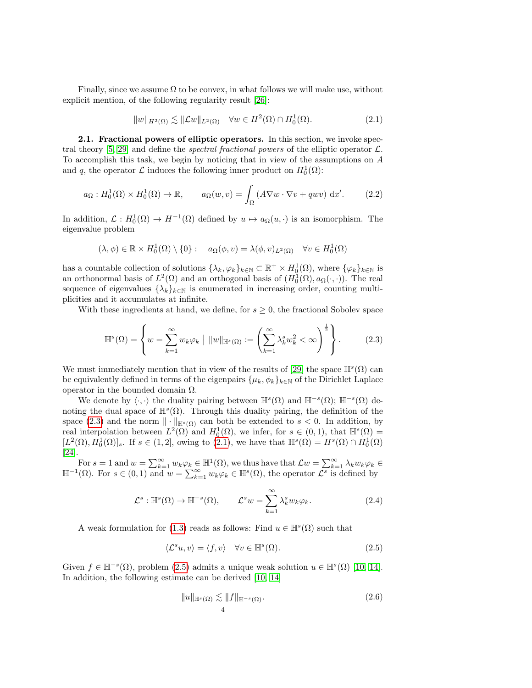Finally, since we assume  $\Omega$  to be convex, in what follows we will make use, without explicit mention, of the following regularity result [\[26\]](#page-24-10):

<span id="page-3-3"></span>
$$
||w||_{H^2(\Omega)} \lesssim ||\mathcal{L}w||_{L^2(\Omega)} \quad \forall w \in H^2(\Omega) \cap H_0^1(\Omega). \tag{2.1}
$$

<span id="page-3-1"></span>2.1. Fractional powers of elliptic operators. In this section, we invoke spec-tral theory [\[5,](#page-23-13) [29\]](#page-24-11) and define the *spectral fractional powers* of the elliptic operator  $\mathcal{L}$ . To accomplish this task, we begin by noticing that in view of the assumptions on A and q, the operator  $\mathcal L$  induces the following inner product on  $H_0^1(\Omega)$ :

$$
a_{\Omega}: H_0^1(\Omega) \times H_0^1(\Omega) \to \mathbb{R}, \qquad a_{\Omega}(w, v) = \int_{\Omega} \left( A \nabla w \cdot \nabla v + q w v \right) dx'. \tag{2.2}
$$

In addition,  $\mathcal{L}: H_0^1(\Omega) \to H^{-1}(\Omega)$  defined by  $u \mapsto a_{\Omega}(u, \cdot)$  is an isomorphism. The eigenvalue problem

$$
(\lambda, \phi) \in \mathbb{R} \times H_0^1(\Omega) \setminus \{0\} : a_{\Omega}(\phi, v) = \lambda(\phi, v)_{L^2(\Omega)} \quad \forall v \in H_0^1(\Omega)
$$

has a countable collection of solutions  $\{\lambda_k, \varphi_k\}_{k\in\mathbb{N}} \subset \mathbb{R}^+ \times H_0^1(\Omega)$ , where  $\{\varphi_k\}_{k\in\mathbb{N}}$  is an orthonormal basis of  $L^2(\Omega)$  and an orthogonal basis of  $(H_0^1(\Omega), a_{\Omega}(\cdot, \cdot))$ . The real sequence of eigenvalues  $\{\lambda_k\}_{k\in\mathbb{N}}$  is enumerated in increasing order, counting multiplicities and it accumulates at infinite.

With these ingredients at hand, we define, for  $s \geq 0$ , the fractional Sobolev space

<span id="page-3-2"></span>
$$
\mathbb{H}^{s}(\Omega) = \left\{ w = \sum_{k=1}^{\infty} w_k \varphi_k \mid ||w||_{\mathbb{H}^{s}(\Omega)} := \left( \sum_{k=1}^{\infty} \lambda_k^s w_k^2 < \infty \right)^{\frac{1}{2}} \right\}.
$$
 (2.3)

We must immediately mention that in view of the results of [\[29\]](#page-24-11) the space  $\mathbb{H}^s(\Omega)$  can be equivalently defined in terms of the eigenpairs  $\{\mu_k, \phi_k\}_{k\in\mathbb{N}}$  of the Dirichlet Laplace operator in the bounded domain  $Ω$ .

We denote by  $\langle \cdot, \cdot \rangle$  the duality pairing between  $\mathbb{H}^s(\Omega)$  and  $\mathbb{H}^{-s}(\Omega)$ ;  $\mathbb{H}^{-s}(\Omega)$  denoting the dual space of  $\mathbb{H}^s(\Omega)$ . Through this duality pairing, the definition of the space [\(2.3\)](#page-3-2) and the norm  $\|\cdot\|_{\mathbb{H}^{s}(\Omega)}$  can both be extended to  $s < 0$ . In addition, by real interpolation between  $L^2(\Omega)$  and  $H_0^1(\Omega)$ , we infer, for  $s \in (0,1)$ , that  $\mathbb{H}^s(\Omega) =$  $[L^2(\Omega), H_0^1(\Omega)]_s$ . If  $s \in (1, 2]$ , owing to  $(2.1)$ , we have that  $\mathbb{H}^s(\Omega) = H^s(\Omega) \cap H_0^1(\Omega)$ [\[24\]](#page-24-12).

For  $s = 1$  and  $w = \sum_{k=1}^{\infty} w_k \varphi_k \in \mathbb{H}^1(\Omega)$ , we thus have that  $\mathcal{L}w = \sum_{k=1}^{\infty} \lambda_k w_k \varphi_k \in \mathbb{H}^{-1}(\Omega)$ . For  $s \in (0, 1)$  and  $w = \sum_{k=1}^{\infty} w_k \varphi_k \in \mathbb{H}^s(\Omega)$ , the operator  $\mathcal{L}^s$  is defined by

<span id="page-3-0"></span>
$$
\mathcal{L}^s : \mathbb{H}^s(\Omega) \to \mathbb{H}^{-s}(\Omega), \qquad \mathcal{L}^s w = \sum_{k=1}^{\infty} \lambda_k^s w_k \varphi_k.
$$
 (2.4)

A weak formulation for [\(1.3\)](#page-0-0) reads as follows: Find  $u \in \mathbb{H}^{s}(\Omega)$  such that

<span id="page-3-4"></span>
$$
\langle \mathcal{L}^s u, v \rangle = \langle f, v \rangle \quad \forall v \in \mathbb{H}^s(\Omega). \tag{2.5}
$$

Given  $f \in \mathbb{H}^{-s}(\Omega)$ , problem [\(2.5\)](#page-3-4) admits a unique weak solution  $u \in \mathbb{H}^{s}(\Omega)$  [\[10,](#page-23-4) [14\]](#page-23-7). In addition, the following estimate can be derived [\[10,](#page-23-4) [14\]](#page-23-7)

<span id="page-3-5"></span>
$$
||u||_{\mathbb{H}^{s}(\Omega)} \lesssim ||f||_{\mathbb{H}^{-s}(\Omega)}.
$$
\n(2.6)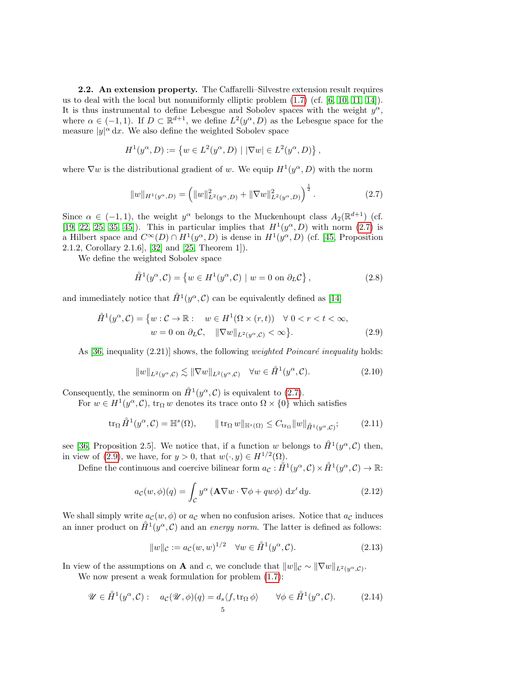<span id="page-4-0"></span>2.2. An extension property. The Caffarelli–Silvestre extension result requires us to deal with the local but nonuniformly elliptic problem [\(1.7\)](#page-1-2) (cf. [\[6,](#page-23-14) [10,](#page-23-4) [11,](#page-23-5) [14\]](#page-23-7)). It is thus instrumental to define Lebesgue and Sobolev spaces with the weight  $y^{\alpha}$ , where  $\alpha \in (-1,1)$ . If  $D \subset \mathbb{R}^{d+1}$ , we define  $L^2(y^{\alpha}, D)$  as the Lebesgue space for the measure  $|y|^{\alpha} dx$ . We also define the weighted Sobolev space

$$
H^{1}(y^{\alpha}, D) := \{ w \in L^{2}(y^{\alpha}, D) \mid |\nabla w| \in L^{2}(y^{\alpha}, D) \},
$$

where  $\nabla w$  is the distributional gradient of w. We equip  $H^1(y^\alpha, D)$  with the norm

<span id="page-4-1"></span>
$$
||w||_{H^1(y^{\alpha}, D)} = \left(||w||^2_{L^2(y^{\alpha}, D)} + ||\nabla w||^2_{L^2(y^{\alpha}, D)}\right)^{\frac{1}{2}}.
$$
\n(2.7)

Since  $\alpha \in (-1,1)$ , the weight  $y^{\alpha}$  belongs to the Muckenhoupt class  $A_2(\mathbb{R}^{d+1})$  (cf. [\[19,](#page-23-15) [22,](#page-23-16) [25,](#page-24-13) [35,](#page-24-14) [45\]](#page-24-15)). This in particular implies that  $H^1(y^\alpha, D)$  with norm [\(2.7\)](#page-4-1) is a Hilbert space and  $C^{\infty}(D) \cap H^1(y^{\alpha}, D)$  is dense in  $H^1(y^{\alpha}, D)$  (cf. [\[45,](#page-24-15) Proposition 2.1.2, Corollary 2.1.6], [\[32\]](#page-24-16) and [\[25,](#page-24-13) Theorem 1]).

We define the weighted Sobolev space

$$
\mathring{H}^1(y^\alpha, \mathcal{C}) = \left\{ w \in H^1(y^\alpha, \mathcal{C}) \mid w = 0 \text{ on } \partial_L \mathcal{C} \right\},\tag{2.8}
$$

and immediately notice that  $\mathring{H}^1(y^\alpha, \mathcal{C})$  can be equivalently defined as [\[14\]](#page-23-7)

$$
\hat{H}^{1}(y^{\alpha}, \mathcal{C}) = \{ w : \mathcal{C} \to \mathbb{R} : \quad w \in H^{1}(\Omega \times (r, t)) \quad \forall \ 0 < r < t < \infty, \n w = 0 \text{ on } \partial_{L} \mathcal{C}, \quad \|\nabla w\|_{L^{2}(y^{\alpha}, \mathcal{C})} < \infty \}.
$$
\n(2.9)

As  $[36,$  inequality  $(2.21)$  shows, the following *weighted Poincaré inequality* holds:

<span id="page-4-6"></span><span id="page-4-2"></span>
$$
||w||_{L^{2}(y^{\alpha}, \mathcal{C})} \lesssim ||\nabla w||_{L^{2}(y^{\alpha}, \mathcal{C})} \quad \forall w \in \mathring{H}^{1}(y^{\alpha}, \mathcal{C}). \tag{2.10}
$$

Consequently, the seminorm on  $\mathring{H}^1(y^\alpha, \mathcal{C})$  is equivalent to [\(2.7\)](#page-4-1).

For  $w \in H^1(y^\alpha, \mathcal{C})$ ,  $\text{tr}_\Omega w$  denotes its trace onto  $\Omega \times \{0\}$  which satisfies

<span id="page-4-5"></span>
$$
\operatorname{tr}_{\Omega} \mathring{H}^1(y^{\alpha}, \mathcal{C}) = \mathbb{H}^s(\Omega), \qquad \|\operatorname{tr}_{\Omega} w\|_{\mathbb{H}^s(\Omega)} \le C_{\operatorname{tr}_{\Omega}} \|w\|_{\mathring{H}^1(y^{\alpha}, \mathcal{C})}; \tag{2.11}
$$

see [\[36,](#page-24-8) Proposition 2.5]. We notice that, if a function w belongs to  $\mathring{H}^1(y^{\alpha}, \mathcal{C})$  then, in view of [\(2.9\)](#page-4-2), we have, for  $y > 0$ , that  $w(\cdot, y) \in H^{1/2}(\Omega)$ .

Define the continuous and coercive bilinear form  $a_{\mathcal{C}}: \mathring{H}^1(y^{\alpha}, \mathcal{C}) \times \mathring{H}^1(y^{\alpha}, \mathcal{C}) \to \mathbb{R}$ :

<span id="page-4-4"></span>
$$
a_{\mathcal{C}}(w,\phi)(q) = \int_{\mathcal{C}} y^{\alpha} \left( \mathbf{A} \nabla w \cdot \nabla \phi + q w \phi \right) dx' dy.
$$
 (2.12)

We shall simply write  $a_{\mathcal{C}}(w, \phi)$  or  $a_{\mathcal{C}}$  when no confusion arises. Notice that  $a_{\mathcal{C}}$  induces an inner product on  $\mathring{H}^1(y^{\alpha}, \mathcal{C})$  and an energy norm. The latter is defined as follows:

<span id="page-4-7"></span>
$$
||w||_{\mathcal{C}} := a_{\mathcal{C}}(w, w)^{1/2} \quad \forall w \in \mathring{H}^{1}(y^{\alpha}, \mathcal{C}).
$$
\n(2.13)

In view of the assumptions on **A** and c, we conclude that  $||w||_c \sim ||\nabla w||_{L^2(y^\alpha,\mathcal{C})}$ .

We now present a weak formulation for problem [\(1.7\)](#page-1-2):

<span id="page-4-3"></span>
$$
\mathscr{U} \in \mathring{H}^1(y^\alpha, \mathcal{C}) : \quad a_{\mathcal{C}}(\mathscr{U}, \phi)(q) = d_s \langle f, \text{tr}_\Omega \phi \rangle \qquad \forall \phi \in \mathring{H}^1(y^\alpha, \mathcal{C}). \tag{2.14}
$$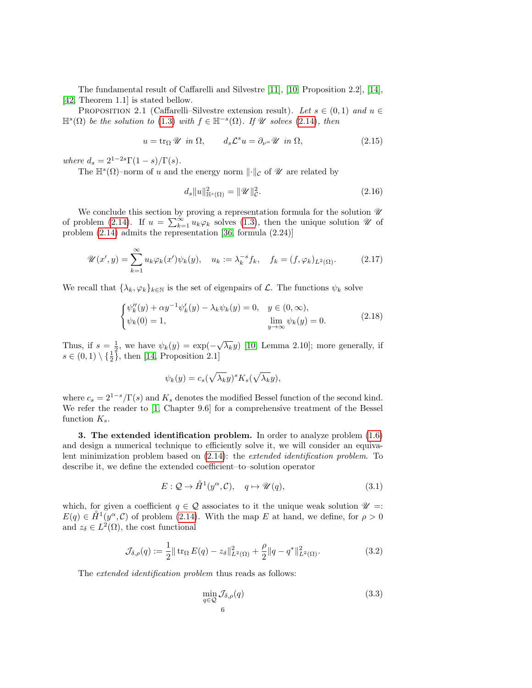The fundamental result of Caffarelli and Silvestre [\[11\]](#page-23-5), [\[10,](#page-23-4) Proposition 2.2], [\[14\]](#page-23-7), [\[42,](#page-24-3) Theorem 1.1] is stated bellow.

PROPOSITION 2.1 (Caffarelli–Silvestre extension result). Let  $s \in (0,1)$  and  $u \in$  $\mathbb{H}^{s}(\Omega)$  be the solution to [\(1.3\)](#page-0-0) with  $f \in \mathbb{H}^{-s}(\Omega)$ . If  $\mathscr{U}$  solves [\(2.14\)](#page-4-3), then

<span id="page-5-2"></span>
$$
u = \text{tr}_{\Omega} \mathscr{U} \text{ in } \Omega, \qquad d_s \mathcal{L}^s u = \partial_{\nu} \mathscr{U} \text{ in } \Omega,
$$
 (2.15)

where  $d_s = 2^{1-2s}\Gamma(1-s)/\Gamma(s)$ .

The  $\mathbb{H}^s(\Omega)$ -norm of u and the energy norm  $\lVert \cdot \rVert_{\mathcal{C}}$  of  $\mathcal{U}$  are related by

<span id="page-5-3"></span>
$$
d_s \|u\|_{\mathbb{H}^s(\Omega)}^2 = \|\mathcal{U}\|_{\mathcal{C}}^2. \tag{2.16}
$$

We conclude this section by proving a representation formula for the solution  $\mathscr U$ of problem [\(2.14\)](#page-4-3). If  $u = \sum_{k=1}^{\infty} u_k \varphi_k$  solves [\(1.3\)](#page-0-0), then the unique solution  $\mathscr U$  of problem [\(2.14\)](#page-4-3) admits the representation [\[36,](#page-24-8) formula (2.24)]

$$
\mathscr{U}(x',y) = \sum_{k=1}^{\infty} u_k \varphi_k(x') \psi_k(y), \quad u_k := \lambda_k^{-s} f_k, \quad f_k = (f, \varphi_k)_{L^2(\Omega)}.
$$
 (2.17)

We recall that  $\{\lambda_k, \varphi_k\}_{k\in\mathbb{N}}$  is the set of eigenpairs of  $\mathcal{L}$ . The functions  $\psi_k$  solve

$$
\begin{cases}\n\psi_k''(y) + \alpha y^{-1} \psi_k'(y) - \lambda_k \psi_k(y) = 0, & y \in (0, \infty), \\
\psi_k(0) = 1, & \lim_{y \to \infty} \psi_k(y) = 0.\n\end{cases}
$$
\n(2.18)

Thus, if  $s = \frac{1}{2}$ , we have  $\psi_k(y) = \exp(-\sqrt{\lambda_k}y)$  [\[10,](#page-23-4) Lemma 2.10]; more generally, if  $s \in (0,1) \setminus {\frac{1}{2}}$ , then [\[14,](#page-23-7) Proposition 2.1]

$$
\psi_k(y) = c_s(\sqrt{\lambda_k}y)^s K_s(\sqrt{\lambda_k}y),
$$

where  $c_s = 2^{1-s}/\Gamma(s)$  and  $K_s$  denotes the modified Bessel function of the second kind. We refer the reader to [\[1,](#page-23-17) Chapter 9.6] for a comprehensive treatment of the Bessel function  $K_s$ .

<span id="page-5-0"></span>3. The extended identification problem. In order to analyze problem [\(1.6\)](#page-1-1) and design a numerical technique to efficiently solve it, we will consider an equivalent minimization problem based on [\(2.14\)](#page-4-3): the extended identification problem. To describe it, we define the extended coefficient–to–solution operator

<span id="page-5-4"></span>
$$
E: \mathcal{Q} \to \mathring{H}^1(y^\alpha, \mathcal{C}), \quad q \mapsto \mathscr{U}(q), \tag{3.1}
$$

which, for given a coefficient  $q \in \mathcal{Q}$  associates to it the unique weak solution  $\mathcal{U} =$ :  $E(q) \in \overset{\circ}{H}^1(\mathcal{Y}^\alpha,\mathcal{C})$  of problem [\(2.14\)](#page-4-3). With the map E at hand, we define, for  $\rho > 0$ and  $z_{\delta} \in L^2(\Omega)$ , the cost functional

<span id="page-5-5"></span>
$$
\mathcal{J}_{\delta,\rho}(q) := \frac{1}{2} || \operatorname{tr}_{\Omega} E(q) - z_{\delta} ||_{L^{2}(\Omega)}^{2} + \frac{\rho}{2} || q - q^{*} ||_{L^{2}(\Omega)}^{2}.
$$
 (3.2)

The *extended identification problem* thus reads as follows:

<span id="page-5-1"></span>
$$
\min_{q \in \mathcal{Q}} \mathcal{J}_{\delta,\rho}(q) \tag{3.3}
$$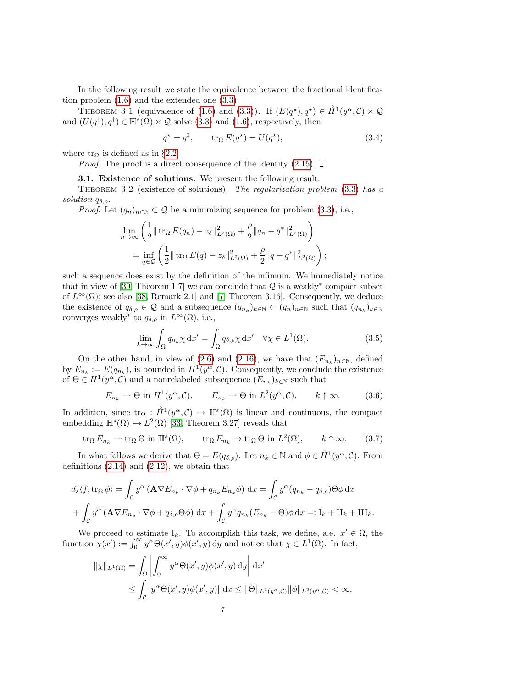In the following result we state the equivalence between the fractional identification problem [\(1.6\)](#page-1-1) and the extended one [\(3.3\)](#page-5-1).

THEOREM 3.1 (equivalence of [\(1.6\)](#page-1-1) and [\(3.3\)](#page-5-1)). If  $(E(q^*), q^*) \in \mathring{H}^1(y^\alpha, \mathcal{C}) \times \mathcal{Q}$ and  $(U(q^{\ddagger}), q^{\ddagger}) \in \mathbb{H}^{s}(\Omega) \times \mathcal{Q}$  solve  $(3.3)$  and  $(1.6)$ , respectively, then

<span id="page-6-3"></span>
$$
q^* = q^\ddagger, \qquad \text{tr}_\Omega E(q^*) = U(q^*), \tag{3.4}
$$

where  $\text{tr}_{\Omega}$  is defined as in §[2.2.](#page-4-0)

*Proof.* The proof is a direct consequence of the identity  $(2.15)$ .  $\Box$ 

3.1. Existence of solutions. We present the following result.

<span id="page-6-2"></span>THEOREM 3.2 (existence of solutions). The regularization problem  $(3.3)$  has a solution  $q_{\delta,\rho}$ .

*Proof.* Let  $(q_n)_{n\in\mathbb{N}}\subset\mathcal{Q}$  be a minimizing sequence for problem [\(3.3\)](#page-5-1), i.e.,

$$
\lim_{n \to \infty} \left( \frac{1}{2} \| \operatorname{tr}_{\Omega} E(q_n) - z_{\delta} \|_{L^2(\Omega)}^2 + \frac{\rho}{2} \| q_n - q^* \|_{L^2(\Omega)}^2 \right)
$$
  
= 
$$
\inf_{q \in \mathcal{Q}} \left( \frac{1}{2} \| \operatorname{tr}_{\Omega} E(q) - z_{\delta} \|_{L^2(\Omega)}^2 + \frac{\rho}{2} \| q - q^* \|_{L^2(\Omega)}^2 \right);
$$

such a sequence does exist by the definition of the infimum. We immediately notice that in view of [\[39,](#page-24-17) Theorem 1.7] we can conclude that  $Q$  is a weakly<sup>\*</sup> compact subset of  $L^{\infty}(\Omega)$ ; see also [\[38,](#page-24-18) Remark 2.1] and [\[7,](#page-23-18) Theorem 3.16]. Consequently, we deduce the existence of  $q_{\delta,\rho} \in \mathcal{Q}$  and a subsequence  $(q_{n_k})_{k \in \mathbb{N}} \subset (q_n)_{n \in \mathbb{N}}$  such that  $(q_{n_k})_{k \in \mathbb{N}}$ converges weakly<sup>\*</sup> to  $q_{\delta,\rho}$  in  $L^{\infty}(\Omega)$ , i.e.,

<span id="page-6-0"></span>
$$
\lim_{k \to \infty} \int_{\Omega} q_{n_k} \chi \, dx' = \int_{\Omega} q_{\delta,\rho} \chi \, dx' \quad \forall \chi \in L^1(\Omega). \tag{3.5}
$$

On the other hand, in view of [\(2.6\)](#page-3-5) and [\(2.16\)](#page-5-3), we have that  $(E_{n_k})_{n\in\mathbb{N}}$ , defined by  $E_{n_k} := E(q_{n_k})$ , is bounded in  $H^1(y^{\alpha}, \mathcal{C})$ . Consequently, we conclude the existence of  $\Theta \in H^1(\mathcal{Y}^\alpha, \mathcal{C})$  and a nonrelabeled subsequence  $(E_{n_k})_{k \in \mathbb{N}}$  such that

<span id="page-6-1"></span>
$$
E_{n_k} \rightharpoonup \Theta \text{ in } H^1(y^{\alpha}, \mathcal{C}), \qquad E_{n_k} \rightharpoonup \Theta \text{ in } L^2(y^{\alpha}, \mathcal{C}), \qquad k \uparrow \infty. \tag{3.6}
$$

In addition, since  $\text{tr}_{\Omega}: \mathring{H}^1(y^{\alpha}, \mathcal{C}) \to \mathbb{H}^s(\Omega)$  is linear and continuous, the compact embedding  $\mathbb{H}^s(\Omega) \hookrightarrow L^2(\Omega)$  [\[33,](#page-24-19) Theorem 3.27] reveals that

$$
\operatorname{tr}_{\Omega} E_{n_k} \rightharpoonup \operatorname{tr}_{\Omega} \Theta \text{ in } \mathbb{H}^s(\Omega), \qquad \operatorname{tr}_{\Omega} E_{n_k} \rightharpoonup \operatorname{tr}_{\Omega} \Theta \text{ in } L^2(\Omega), \qquad k \uparrow \infty. \tag{3.7}
$$

In what follows we derive that  $\Theta = E(q_{\delta,\rho})$ . Let  $n_k \in \mathbb{N}$  and  $\phi \in \mathring{H}^1(y^{\alpha}, \mathcal{C})$ . From definitions  $(2.14)$  and  $(2.12)$ , we obtain that

$$
d_s \langle f, \operatorname{tr}_{\Omega} \phi \rangle = \int_{\mathcal{C}} y^{\alpha} \left( \mathbf{A} \nabla E_{n_k} \cdot \nabla \phi + q_{n_k} E_{n_k} \phi \right) dx = \int_{\mathcal{C}} y^{\alpha} (q_{n_k} - q_{\delta, \rho}) \Theta \phi dx
$$
  
+ 
$$
\int_{\mathcal{C}} y^{\alpha} \left( \mathbf{A} \nabla E_{n_k} \cdot \nabla \phi + q_{\delta, \rho} \Theta \phi \right) dx + \int_{\mathcal{C}} y^{\alpha} q_{n_k} (E_{n_k} - \Theta) \phi dx =: I_k + II_k + III_k. \end{aligned}
$$

We proceed to estimate  $I_k$ . To accomplish this task, we define, a.e.  $x' \in \Omega$ , the function  $\chi(x') := \int_0^\infty y^\alpha \Theta(x', y) \phi(x', y) dy$  and notice that  $\chi \in L^1(\Omega)$ . In fact,

$$
\begin{aligned} \|\chi\|_{L^1(\Omega)} &= \int_{\Omega} \left| \int_0^\infty y^\alpha \Theta(x', y) \phi(x', y) \, \mathrm{d}y \right| \, \mathrm{d}x' \\ &\leq \int_{\mathcal{C}} |y^\alpha \Theta(x', y) \phi(x', y)| \, \, \mathrm{d}x \leq \|\Theta\|_{L^2(y^\alpha, \mathcal{C})} \|\phi\|_{L^2(y^\alpha, \mathcal{C})} < \infty, \end{aligned}
$$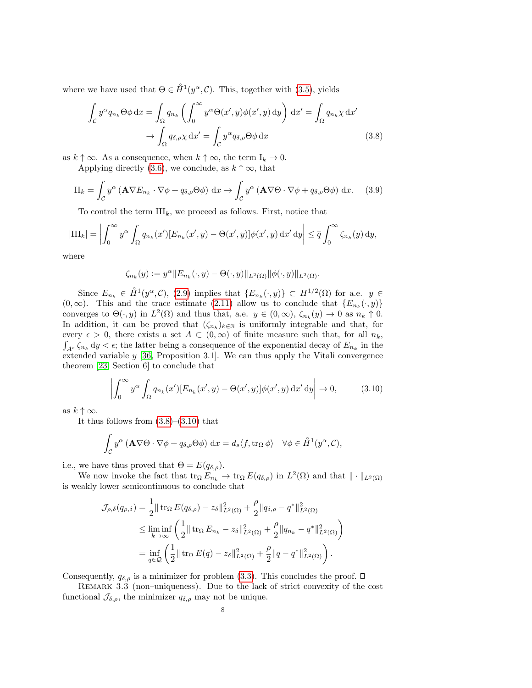where we have used that  $\Theta \in \mathring{H}^1(y^{\alpha}, \mathcal{C})$ . This, together with [\(3.5\)](#page-6-0), yields

<span id="page-7-0"></span>
$$
\int_{\mathcal{C}} y^{\alpha} q_{n_k} \Theta \phi \, dx = \int_{\Omega} q_{n_k} \left( \int_0^{\infty} y^{\alpha} \Theta(x', y) \phi(x', y) \, dy \right) \, dx' = \int_{\Omega} q_{n_k} \chi \, dx' \n\to \int_{\Omega} q_{\delta, \rho} \chi \, dx' = \int_{\mathcal{C}} y^{\alpha} q_{\delta, \rho} \Theta \phi \, dx
$$
\n(3.8)

as  $k \uparrow \infty$ . As a consequence, when  $k \uparrow \infty$ , the term  $I_k \to 0$ .

Applying directly [\(3.6\)](#page-6-1), we conclude, as  $k \uparrow \infty$ , that

$$
\Pi_k = \int_{\mathcal{C}} y^{\alpha} \left( \mathbf{A} \nabla E_{n_k} \cdot \nabla \phi + q_{\delta, \rho} \Theta \phi \right) dx \to \int_{\mathcal{C}} y^{\alpha} \left( \mathbf{A} \nabla \Theta \cdot \nabla \phi + q_{\delta, \rho} \Theta \phi \right) dx. \tag{3.9}
$$

To control the term  $III_k$ , we proceed as follows. First, notice that

$$
|\mathrm{III}_k| = \left| \int_0^\infty y^\alpha \int_\Omega q_{n_k}(x') [E_{n_k}(x', y) - \Theta(x', y)] \phi(x', y) \, dx' \, dy \right| \leq \overline{q} \int_0^\infty \zeta_{n_k}(y) \, dy,
$$

where

$$
\zeta_{n_k}(y):=y^\alpha\|E_{n_k}(\cdot,y)-\Theta(\cdot,y)\|_{L^2(\Omega)}\|\phi(\cdot,y)\|_{L^2(\Omega)}.
$$

Since  $E_{n_k} \in \mathring{H}^1(\mathcal{Y}^\alpha, \mathcal{C})$ , [\(2.9\)](#page-4-2) implies that  $\{E_{n_k}(\cdot, y)\} \subset H^{1/2}(\Omega)$  for a.e.  $y \in$  $(0, \infty)$ . This and the trace estimate [\(2.11\)](#page-4-5) allow us to conclude that  $\{E_{n_k}(\cdot, y)\}$ converges to  $\Theta(\cdot, y)$  in  $L^2(\Omega)$  and thus that, a.e.  $y \in (0, \infty)$ ,  $\zeta_{n_k}(y) \to 0$  as  $n_k \uparrow 0$ . In addition, it can be proved that  $(\zeta_{n_k})_{k\in\mathbb{N}}$  is uniformly integrable and that, for every  $\epsilon > 0$ , there exists a set  $A \subset (0,\infty)$  of finite measure such that, for all  $n_k$ ,  $\int_{A^c} \zeta_{n_k} dy < \epsilon$ ; the latter being a consequence of the exponential decay of  $E_{n_k}$  in the extended variable  $y$  [\[36,](#page-24-8) Proposition 3.1]. We can thus apply the Vitali convergence theorem [\[23,](#page-24-20) Section 6] to conclude that

<span id="page-7-1"></span>
$$
\left| \int_0^\infty y^\alpha \int_{\Omega} q_{n_k}(x') [E_{n_k}(x', y) - \Theta(x', y)] \phi(x', y) \, dx' \, dy \right| \to 0, \tag{3.10}
$$

as  $k \uparrow \infty$ .

It thus follows from  $(3.8)$ – $(3.10)$  that

$$
\int_{\mathcal{C}} y^{\alpha} \left( \mathbf{A} \nabla \Theta \cdot \nabla \phi + q_{\delta, \rho} \Theta \phi \right) dx = d_s \langle f, \text{tr}_{\Omega} \phi \rangle \quad \forall \phi \in \mathring{H}^1(y^{\alpha}, \mathcal{C}),
$$

i.e., we have thus proved that  $\Theta = E(q_{\delta,\rho}).$ 

We now invoke the fact that  $\text{tr}_{\Omega} E_{n_k} \to \text{tr}_{\Omega} E(q_{\delta,\rho})$  in  $L^2(\Omega)$  and that  $\|\cdot\|_{L^2(\Omega)}$ is weakly lower semicontinuous to conclude that

$$
\mathcal{J}_{\rho,\delta}(q_{\rho,\delta}) = \frac{1}{2} || \operatorname{tr}_{\Omega} E(q_{\delta,\rho}) - z_{\delta} ||_{L^{2}(\Omega)}^{2} + \frac{\rho}{2} || q_{\delta,\rho} - q^{*} ||_{L^{2}(\Omega)}^{2}
$$
  
\n
$$
\leq \liminf_{k \to \infty} \left( \frac{1}{2} || \operatorname{tr}_{\Omega} E_{n_{k}} - z_{\delta} ||_{L^{2}(\Omega)}^{2} + \frac{\rho}{2} || q_{n_{k}} - q^{*} ||_{L^{2}(\Omega)}^{2} \right)
$$
  
\n
$$
= \inf_{q \in \mathcal{Q}} \left( \frac{1}{2} || \operatorname{tr}_{\Omega} E(q) - z_{\delta} ||_{L^{2}(\Omega)}^{2} + \frac{\rho}{2} || q - q^{*} ||_{L^{2}(\Omega)}^{2} \right).
$$

Consequently,  $q_{\delta,\rho}$  is a minimizer for problem [\(3.3\)](#page-5-1). This concludes the proof.  $\Box$ 

Remark 3.3 (non–uniqueness). Due to the lack of strict convexity of the cost functional  $\mathcal{J}_{\delta,\rho}$ , the minimizer  $q_{\delta,\rho}$  may not be unique.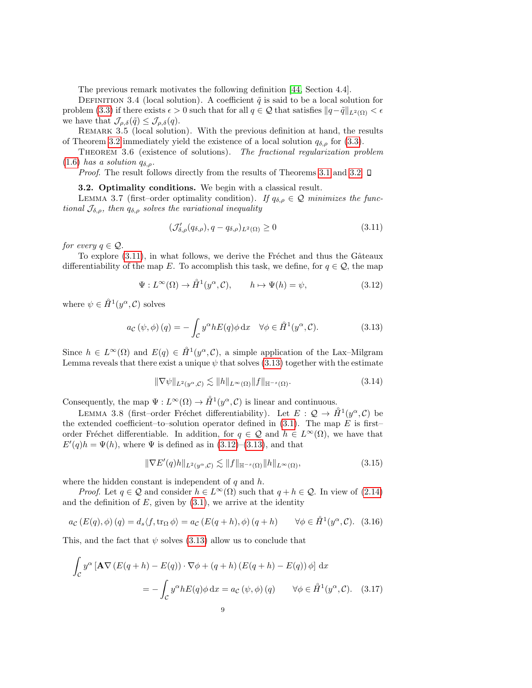The previous remark motivates the following definition [\[44,](#page-24-21) Section 4.4].

<span id="page-8-5"></span>DEFINITION 3.4 (local solution). A coefficient  $\tilde{q}$  is said to be a local solution for problem [\(3.3\)](#page-5-1) if there exists  $\epsilon > 0$  such that for all  $q \in \mathcal{Q}$  that satisfies  $||q-\tilde{q}||_{L^2(\Omega)} < \epsilon$ we have that  $\mathcal{J}_{\rho,\delta}(\tilde{q}) \leq \mathcal{J}_{\rho,\delta}(q)$ .

REMARK 3.5 (local solution). With the previous definition at hand, the results of Theorem [3.2](#page-6-2) immediately yield the existence of a local solution  $q_{\delta,\rho}$  for [\(3.3\)](#page-5-1).

THEOREM 3.6 (existence of solutions). The fractional regularization problem [\(1.6\)](#page-1-1) has a solution  $q_{\delta,\rho}$ .

*Proof.* The result follows directly from the results of Theorems [3.1](#page-6-3) and [3.2.](#page-6-2)  $\Box$ 

#### 3.2. Optimality conditions. We begin with a classical result.

LEMMA 3.7 (first–order optimality condition). If  $q_{\delta,\rho} \in \mathcal{Q}$  minimizes the functional  $\mathcal{J}_{\delta,\rho}$ , then  $q_{\delta,\rho}$  solves the variational inequality

<span id="page-8-6"></span><span id="page-8-0"></span>
$$
(\mathcal{J}_{\delta,\rho}'(q_{\delta,\rho}), q - q_{\delta,\rho})_{L^2(\Omega)} \ge 0
$$
\n(3.11)

for every  $q \in \mathcal{Q}$ .

To explore  $(3.11)$ , in what follows, we derive the Fréchet and thus the Gâteaux differentiability of the map E. To accomplish this task, we define, for  $q \in \mathcal{Q}$ , the map

<span id="page-8-2"></span>
$$
\Psi: L^{\infty}(\Omega) \to \mathring{H}^1(y^{\alpha}, \mathcal{C}), \qquad h \mapsto \Psi(h) = \psi,
$$
\n(3.12)

where  $\psi \in \mathring{H}^1(y^\alpha, \mathcal{C})$  solves

<span id="page-8-1"></span>
$$
a_{\mathcal{C}}(\psi,\phi)(q) = -\int_{\mathcal{C}} y^{\alpha} h E(q) \phi \,dx \quad \forall \phi \in \mathring{H}^{1}(y^{\alpha}, \mathcal{C}).
$$
 (3.13)

Since  $h \in L^{\infty}(\Omega)$  and  $E(q) \in \mathring{H}^1(y^{\alpha}, \mathcal{C})$ , a simple application of the Lax-Milgram Lemma reveals that there exist a unique  $\psi$  that solves [\(3.13\)](#page-8-1) together with the estimate

<span id="page-8-3"></span>
$$
\|\nabla\psi\|_{L^2(y^\alpha,\mathcal{C})} \lesssim \|h\|_{L^\infty(\Omega)} \|f\|_{\mathbb{H}^{-s}(\Omega)}.
$$
\n(3.14)

Consequently, the map  $\Psi: L^{\infty}(\Omega) \to \mathring{H}^1(y^{\alpha}, \mathcal{C})$  is linear and continuous.

LEMMA 3.8 (first–order Fréchet differentiability). Let  $E: \mathcal{Q} \to \mathring{H}^1(y^\alpha, \mathcal{C})$  be the extended coefficient–to–solution operator defined in  $(3.1)$ . The map E is first– order Fréchet differentiable. In addition, for  $q \in \mathcal{Q}$  and  $h \in L^{\infty}(\Omega)$ , we have that  $E'(q)h = \Psi(h)$ , where  $\Psi$  is defined as in [\(3.12\)](#page-8-2)–[\(3.13\)](#page-8-1), and that

<span id="page-8-4"></span>
$$
\|\nabla E'(q)h\|_{L^2(y^\alpha,\mathcal{C})} \lesssim \|f\|_{\mathbb{H}^{-s}(\Omega)} \|h\|_{L^\infty(\Omega)},\tag{3.15}
$$

where the hidden constant is independent of  $q$  and  $h$ .

*Proof.* Let  $q \in \mathcal{Q}$  and consider  $h \in L^{\infty}(\Omega)$  such that  $q + h \in \mathcal{Q}$ . In view of [\(2.14\)](#page-4-3) and the definition of  $E$ , given by  $(3.1)$ , we arrive at the identity

$$
a_{\mathcal{C}}(E(q), \phi)(q) = d_s \langle f, \operatorname{tr}_{\Omega} \phi \rangle = a_{\mathcal{C}}(E(q+h), \phi)(q+h) \qquad \forall \phi \in \mathring{H}^1(y^{\alpha}, \mathcal{C}). \tag{3.16}
$$

This, and the fact that  $\psi$  solves [\(3.13\)](#page-8-1) allow us to conclude that

$$
\int_{\mathcal{C}} y^{\alpha} \left[ \mathbf{A} \nabla \left( E(q+h) - E(q) \right) \cdot \nabla \phi + (q+h) \left( E(q+h) - E(q) \right) \phi \right] dx
$$

$$
= - \int_{\mathcal{C}} y^{\alpha} h E(q) \phi dx = a_{\mathcal{C}} (\psi, \phi) (q) \qquad \forall \phi \in \mathring{H}^{1}(y^{\alpha}, \mathcal{C}). \quad (3.17)
$$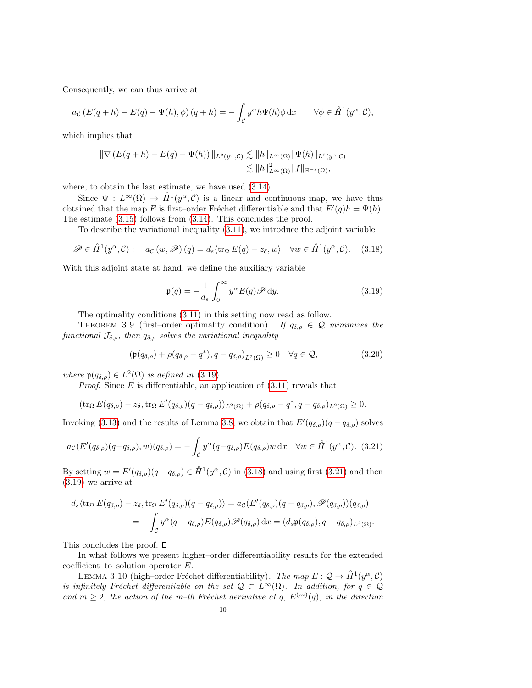Consequently, we can thus arrive at

$$
a_{\mathcal{C}}(E(q+h)-E(q)-\Psi(h),\phi)(q+h)=-\int_{\mathcal{C}}y^{\alpha}h\Psi(h)\phi\,\mathrm{d}x\qquad\forall\phi\in\mathring{H}^1(y^{\alpha},\mathcal{C}),
$$

which implies that

$$
\begin{aligned} \|\nabla \left( E(q+h) - E(q) - \Psi(h) \right) \|_{L^2(y^{\alpha}, \mathcal{C})} &\lesssim \|h\|_{L^{\infty}(\Omega)} \|\Psi(h)\|_{L^2(y^{\alpha}, \mathcal{C})} \\ &\lesssim \|h\|_{L^{\infty}(\Omega)}^2 \|f\|_{\mathbb{H}^{-s}(\Omega)}, \end{aligned}
$$

where, to obtain the last estimate, we have used [\(3.14\)](#page-8-3).

Since  $\Psi : L^{\infty}(\Omega) \to \mathring{H}^1(y^{\alpha}, \mathcal{C})$  is a linear and continuous map, we have thus obtained that the map E is first–order Fréchet differentiable and that  $E'(q)h = \Psi(h)$ . The estimate  $(3.15)$  follows from  $(3.14)$ . This concludes the proof.  $\square$ 

To describe the variational inequality [\(3.11\)](#page-8-0), we introduce the adjoint variable

<span id="page-9-1"></span>
$$
\mathscr{P} \in \mathring{H}^1(y^{\alpha}, \mathcal{C}) : \quad a_{\mathcal{C}}(w, \mathcal{P})(q) = d_s \langle \text{tr}_{\Omega} E(q) - z_{\delta}, w \rangle \quad \forall w \in \mathring{H}^1(y^{\alpha}, \mathcal{C}). \tag{3.18}
$$

With this adjoint state at hand, we define the auxiliary variable

<span id="page-9-0"></span>
$$
\mathfrak{p}(q) = -\frac{1}{d_s} \int_0^\infty y^\alpha E(q) \mathcal{P} \, \mathrm{d}y. \tag{3.19}
$$

The optimality conditions [\(3.11\)](#page-8-0) in this setting now read as follow.

THEOREM 3.9 (first–order optimality condition). If  $q_{\delta,\rho} \in \mathcal{Q}$  minimizes the functional  $\mathcal{J}_{\delta,\rho}$ , then  $q_{\delta,\rho}$  solves the variational inequality

<span id="page-9-3"></span>
$$
\left(\mathfrak{p}(q_{\delta,\rho}) + \rho(q_{\delta,\rho} - q^*), q - q_{\delta,\rho}\right)_{L^2(\Omega)} \ge 0 \quad \forall q \in \mathcal{Q},\tag{3.20}
$$

where  $\mathfrak{p}(q_{\delta,\rho}) \in L^2(\Omega)$  is defined in [\(3.19\)](#page-9-0).

*Proof.* Since  $E$  is differentiable, an application of  $(3.11)$  reveals that

$$
(\operatorname{tr}_{\Omega} E(q_{\delta,\rho}) - z_{\delta}, \operatorname{tr}_{\Omega} E'(q_{\delta,\rho})(q - q_{\delta,\rho}))_{L^2(\Omega)} + \rho(q_{\delta,\rho} - q^*, q - q_{\delta,\rho})_{L^2(\Omega)} \ge 0.
$$

Invoking [\(3.13\)](#page-8-1) and the results of Lemma [3.8,](#page-8-4) we obtain that  $E'(q_{\delta,\rho})(q-q_{\delta,\rho})$  solves

<span id="page-9-2"></span>
$$
a_{\mathcal{C}}(E'(q_{\delta,\rho})(q-q_{\delta,\rho}),w)(q_{\delta,\rho})=-\int_{\mathcal{C}}y^{\alpha}(q-q_{\delta,\rho})E(q_{\delta,\rho})w\,\mathrm{d}x\quad\forall w\in\mathring{H}^1(y^{\alpha},\mathcal{C}).\tag{3.21}
$$

By setting  $w = E'(q_{\delta,\rho})(q - q_{\delta,\rho}) \in \mathring{H}^1(y^{\alpha}, \mathcal{C})$  in [\(3.18\)](#page-9-1) and using first [\(3.21\)](#page-9-2) and then [\(3.19\)](#page-9-0) we arrive at

$$
d_s \langle \operatorname{tr}_{\Omega} E(q_{\delta,\rho}) - z_{\delta}, \operatorname{tr}_{\Omega} E'(q_{\delta,\rho})(q - q_{\delta,\rho}) \rangle = a_{\mathcal{C}}(E'(q_{\delta,\rho})(q - q_{\delta,\rho}), \mathscr{P}(q_{\delta,\rho}))(q_{\delta,\rho})
$$
  
= 
$$
- \int_{\mathcal{C}} y^{\alpha}(q - q_{\delta,\rho}) E(q_{\delta,\rho}) \mathscr{P}(q_{\delta,\rho}) dx = (d_s \mathfrak{p}(q_{\delta,\rho}), q - q_{\delta,\rho})_{L^2(\Omega)}.
$$

This concludes the proof.  $\square$ 

In what follows we present higher–order differentiability results for the extended coefficient–to–solution operator E.

LEMMA 3.10 (high–order Fréchet differentiability). The map  $E: \mathcal{Q} \to \mathring{H}^1(y^\alpha, \mathcal{C})$ is infinitely Fréchet differentiable on the set  $\mathcal{Q} \subset L^{\infty}(\Omega)$ . In addition, for  $q \in \mathcal{Q}$ and  $m \geq 2$ , the action of the m-th Fréchet derivative at q,  $E^{(m)}(q)$ , in the direction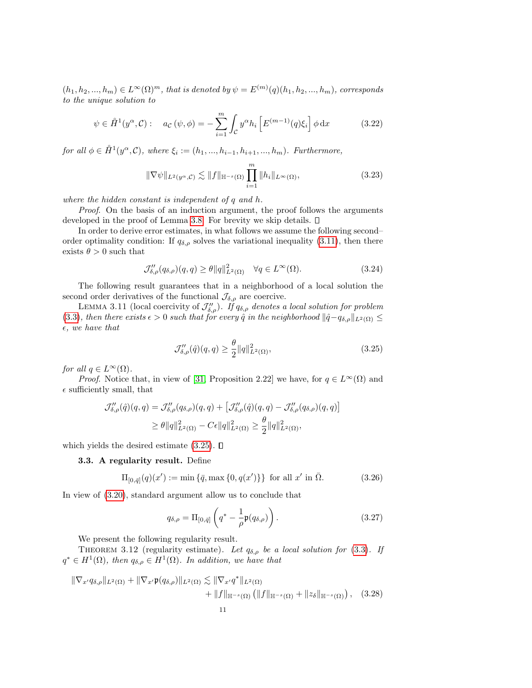$(h_1, h_2, ..., h_m) \in L^{\infty}(\Omega)^m$ , that is denoted by  $\psi = E^{(m)}(q)(h_1, h_2, ..., h_m)$ , corresponds to the unique solution to

$$
\psi \in \mathring{H}^1(y^\alpha, \mathcal{C}) : \quad a_{\mathcal{C}}(\psi, \phi) = -\sum_{i=1}^m \int_{\mathcal{C}} y^\alpha h_i \left[ E^{(m-1)}(q)\xi_i \right] \phi \, \mathrm{d}x \tag{3.22}
$$

for all  $\phi \in \mathring{H}^1(y^\alpha, \mathcal{C})$ , where  $\xi_i := (h_1, ..., h_{i-1}, h_{i+1}, ..., h_m)$ . Furthermore,

$$
\|\nabla\psi\|_{L^2(y^\alpha,\mathcal{C})} \lesssim \|f\|_{\mathbb{H}^{-s}(\Omega)} \prod_{i=1}^m \|h_i\|_{L^\infty(\Omega)},
$$
\n(3.23)

where the hidden constant is independent of q and h.

Proof. On the basis of an induction argument, the proof follows the arguments developed in the proof of Lemma [3.8.](#page-8-4) For brevity we skip details.

In order to derive error estimates, in what follows we assume the following second– order optimality condition: If  $q_{\delta,\rho}$  solves the variational inequality [\(3.11\)](#page-8-0), then there exists  $\theta > 0$  such that

$$
\mathcal{J}_{\delta,\rho}''(q_{\delta,\rho})(q,q) \ge \theta ||q||_{L^{2}(\Omega)}^{2} \quad \forall q \in L^{\infty}(\Omega). \tag{3.24}
$$

The following result guarantees that in a neighborhood of a local solution the second order derivatives of the functional  $\mathcal{J}_{\delta,\rho}$  are coercive.

LEMMA 3.11 (local coercivity of  $\mathcal{J}_{\delta,\rho}''$ ). If  $q_{\delta,\rho}$  denotes a local solution for problem [\(3.3\)](#page-5-1), then there exists  $\epsilon > 0$  such that for every  $\hat{q}$  in the neighborhood  $\|\hat{q} - q_{\delta,\rho}\|_{L^2(\Omega)} \leq$  $\epsilon$ , we have that

<span id="page-10-0"></span>
$$
\mathcal{J}_{\delta,\rho}^{\prime\prime}(\hat{q})(q,q) \ge \frac{\theta}{2} ||q||_{L^{2}(\Omega)}^{2},\tag{3.25}
$$

for all  $q \in L^{\infty}(\Omega)$ .

*Proof.* Notice that, in view of [\[31,](#page-24-22) Proposition 2.22] we have, for  $q \in L^{\infty}(\Omega)$  and  $\epsilon$  sufficiently small, that

$$
\mathcal{J}_{\delta,\rho}''(\hat{q})(q,q) = \mathcal{J}_{\delta,\rho}''(q_{\delta,\rho})(q,q) + \left[\mathcal{J}_{\delta,\rho}''(\hat{q})(q,q) - \mathcal{J}_{\delta,\rho}''(q_{\delta,\rho})(q,q)\right]
$$
  

$$
\geq \theta \|q\|_{L^2(\Omega)}^2 - C\epsilon \|q\|_{L^2(\Omega)}^2 \geq \frac{\theta}{2} \|q\|_{L^2(\Omega)}^2,
$$

which yields the desired estimate  $(3.25)$ .  $\Box$ 

#### 3.3. A regularity result. Define

$$
\Pi_{[0,\bar{q}]}(q)(x') := \min\{\bar{q}, \max\{0, q(x')\}\} \text{ for all } x' \text{ in } \bar{\Omega}.
$$
 (3.26)

In view of [\(3.20\)](#page-9-3), standard argument allow us to conclude that

<span id="page-10-1"></span>
$$
q_{\delta,\rho} = \Pi_{[0,\bar{q}]} \left( q^* - \frac{1}{\rho} \mathfrak{p}(q_{\delta,\rho}) \right). \tag{3.27}
$$

We present the following regularity result.

THEOREM 3.12 (regularity estimate). Let  $q_{\delta,\rho}$  be a local solution for [\(3.3\)](#page-5-1). If  $q^* \in H^1(\Omega)$ , then  $q_{\delta,\rho} \in H^1(\Omega)$ . In addition, we have that

$$
\|\nabla_{x'}q_{\delta,\rho}\|_{L^{2}(\Omega)} + \|\nabla_{x'}\mathfrak{p}(q_{\delta,\rho})\|_{L^{2}(\Omega)} \lesssim \|\nabla_{x'}q^{*}\|_{L^{2}(\Omega)} + \|f\|_{\mathbb{H}^{-s}(\Omega)} \left(\|f\|_{\mathbb{H}^{-s}(\Omega)} + \|z_{\delta}\|_{\mathbb{H}^{-s}(\Omega)}\right), \quad (3.28)
$$
  
11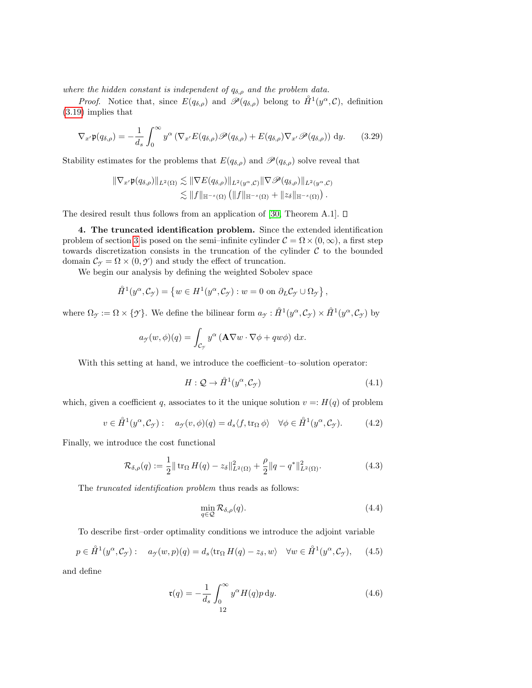where the hidden constant is independent of  $q_{\delta,\rho}$  and the problem data.

*Proof.* Notice that, since  $E(q_{\delta,\rho})$  and  $\mathscr{P}(q_{\delta,\rho})$  belong to  $\mathring{H}^1(y^{\alpha},\mathcal{C})$ , definition [\(3.19\)](#page-9-0) implies that

$$
\nabla_{x'} \mathfrak{p}(q_{\delta,\rho}) = -\frac{1}{d_s} \int_0^\infty y^\alpha \left( \nabla_{x'} E(q_{\delta,\rho}) \mathcal{P}(q_{\delta,\rho}) + E(q_{\delta,\rho}) \nabla_{x'} \mathcal{P}(q_{\delta,\rho}) \right) dy. \tag{3.29}
$$

Stability estimates for the problems that  $E(q_{\delta,\rho})$  and  $\mathscr{P}(q_{\delta,\rho})$  solve reveal that

$$
\|\nabla_{x'}\mathfrak{p}(q_{\delta,\rho})\|_{L^2(\Omega)} \lesssim \|\nabla E(q_{\delta,\rho})\|_{L^2(y^{\alpha},\mathcal{C})} \|\nabla \mathscr{P}(q_{\delta,\rho})\|_{L^2(y^{\alpha},\mathcal{C})}
$$
  

$$
\lesssim \|f\|_{\mathbb{H}^{-s}(\Omega)} \left(\|f\|_{\mathbb{H}^{-s}(\Omega)} + \|z_{\delta}\|_{\mathbb{H}^{-s}(\Omega)}\right).
$$

The desired result thus follows from an application of [\[30,](#page-24-23) Theorem A.1].  $\square$ 

<span id="page-11-0"></span>4. The truncated identification problem. Since the extended identification problem of section [3](#page-5-0) is posed on the semi–infinite cylinder  $\mathcal{C} = \Omega \times (0,\infty)$ , a first step towards discretization consists in the truncation of the cylinder  $C$  to the bounded domain  $\mathcal{C}_{\gamma} = \Omega \times (0, \gamma)$  and study the effect of truncation.

We begin our analysis by defining the weighted Sobolev space

$$
\mathring{H}^1(y^\alpha, \mathcal{C}_{\gamma}) = \left\{ w \in H^1(y^\alpha, \mathcal{C}_{\gamma}) : w = 0 \text{ on } \partial_L \mathcal{C}_{\gamma} \cup \Omega_{\gamma} \right\},\
$$

where  $\Omega_{\mathcal{Y}} := \Omega \times \{ \mathcal{Y} \}$ . We define the bilinear form  $a_{\mathcal{Y}} : \mathring{H}^1(y^{\alpha}, \mathcal{C}_{\mathcal{Y}}) \times \mathring{H}^1(y^{\alpha}, \mathcal{C}_{\mathcal{Y}})$  by

$$
a_{\mathcal{F}}(w,\phi)(q) = \int_{\mathcal{C}_{\mathcal{F}}} y^{\alpha} \left( \mathbf{A} \nabla w \cdot \nabla \phi + q w \phi \right) dx.
$$

With this setting at hand, we introduce the coefficient–to–solution operator:

$$
H: \mathcal{Q} \to \mathring{H}^1(y^\alpha, \mathcal{C}_\mathcal{Y}) \tag{4.1}
$$

which, given a coefficient q, associates to it the unique solution  $v =: H(q)$  of problem

<span id="page-11-3"></span>
$$
v \in \mathring{H}^1(y^\alpha, \mathcal{C}_\gamma) : \quad a_\gamma(v, \phi)(q) = d_s \langle f, \text{tr}_\Omega \phi \rangle \quad \forall \phi \in \mathring{H}^1(y^\alpha, \mathcal{C}_\gamma). \tag{4.2}
$$

Finally, we introduce the cost functional

<span id="page-11-4"></span>
$$
\mathcal{R}_{\delta,\rho}(q) := \frac{1}{2} || \operatorname{tr}_{\Omega} H(q) - z_{\delta} ||_{L^{2}(\Omega)}^{2} + \frac{\rho}{2} || q - q^{*} ||_{L^{2}(\Omega)}^{2}.
$$
 (4.3)

The *truncated identification problem* thus reads as follows:

<span id="page-11-1"></span>
$$
\min_{q \in \mathcal{Q}} \mathcal{R}_{\delta,\rho}(q). \tag{4.4}
$$

To describe first–order optimality conditions we introduce the adjoint variable

$$
p \in \mathring{H}^1(y^\alpha, \mathcal{C}_\mathcal{Y}): \quad a_{\mathcal{Y}}(w, p)(q) = d_s \langle \text{tr}_\Omega H(q) - z_\delta, w \rangle \quad \forall w \in \mathring{H}^1(y^\alpha, \mathcal{C}_\mathcal{Y}), \tag{4.5}
$$

and define

<span id="page-11-2"></span>
$$
\mathfrak{r}(q) = -\frac{1}{d_s} \int_0^\infty y^\alpha H(q) p \, \mathrm{d}y. \tag{4.6}
$$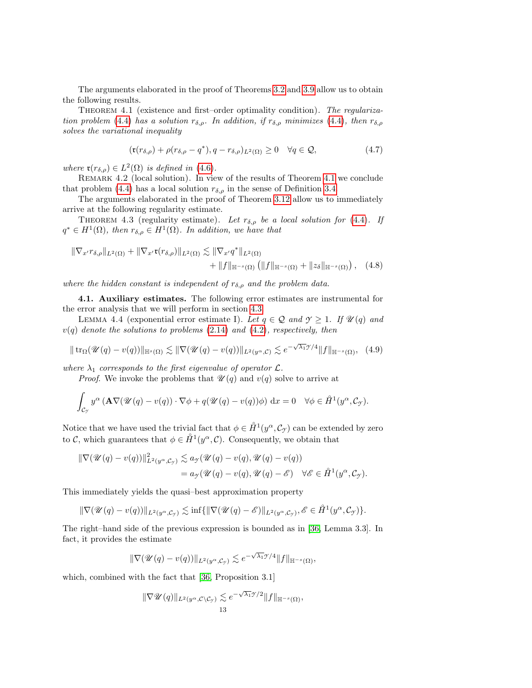The arguments elaborated in the proof of Theorems [3.2](#page-6-2) and [3.9](#page-9-3) allow us to obtain the following results.

<span id="page-12-0"></span>THEOREM 4.1 (existence and first–order optimality condition). The regulariza-tion problem [\(4.4\)](#page-11-1) has a solution  $r_{\delta,\rho}$ . In addition, if  $r_{\delta,\rho}$  minimizes (4.4), then  $r_{\delta,\rho}$ solves the variational inequality

<span id="page-12-3"></span><span id="page-12-2"></span>
$$
(\mathfrak{r}(r_{\delta,\rho}) + \rho(r_{\delta,\rho} - q^*), q - r_{\delta,\rho})_{L^2(\Omega)} \ge 0 \quad \forall q \in \mathcal{Q},\tag{4.7}
$$

where  $\mathfrak{r}(r_{\delta,\rho}) \in L^2(\Omega)$  is defined in [\(4.6\)](#page-11-2).

REMARK 4.2 (local solution). In view of the results of Theorem [4.1](#page-12-0) we conclude that problem [\(4.4\)](#page-11-1) has a local solution  $r_{\delta,\rho}$  in the sense of Definition [3.4.](#page-8-5)

The arguments elaborated in the proof of Theorem [3.12](#page-10-1) allow us to immediately arrive at the following regularity estimate.

THEOREM 4.3 (regularity estimate). Let  $r_{\delta,\rho}$  be a local solution for [\(4.4\)](#page-11-1). If  $q^* \in H^1(\Omega)$ , then  $r_{\delta,\rho} \in H^1(\Omega)$ . In addition, we have that

$$
\|\nabla_{x'} r_{\delta,\rho}\|_{L^2(\Omega)} + \|\nabla_{x'} \mathfrak{r}(r_{\delta,\rho})\|_{L^2(\Omega)} \lesssim \|\nabla_{x'} q^*\|_{L^2(\Omega)} \n+ \|f\|_{\mathbb{H}^{-s}(\Omega)} \left(\|f\|_{\mathbb{H}^{-s}(\Omega)} + \|z_{\delta}\|_{\mathbb{H}^{-s}(\Omega)}\right), \quad (4.8)
$$

where the hidden constant is independent of  $r_{\delta,\rho}$  and the problem data.

4.1. Auxiliary estimates. The following error estimates are instrumental for the error analysis that we will perform in section [4.3.](#page-15-0)

LEMMA 4.4 (exponential error estimate I). Let  $q \in \mathcal{Q}$  and  $\gamma \geq 1$ . If  $\mathcal{U}(q)$  and  $v(q)$  denote the solutions to problems  $(2.14)$  and  $(4.2)$ , respectively, then

<span id="page-12-1"></span>
$$
\|\operatorname{tr}_{\Omega}(\mathcal{U}(q) - v(q))\|_{\mathbb{H}^s(\Omega)} \lesssim \|\nabla(\mathcal{U}(q) - v(q))\|_{L^2(y^{\alpha}, \mathcal{C})} \lesssim e^{-\sqrt{\lambda_1}y/4} \|f\|_{\mathbb{H}^{-s}(\Omega)}, \tag{4.9}
$$

where  $\lambda_1$  corresponds to the first eigenvalue of operator  $\mathcal{L}$ .

*Proof.* We invoke the problems that  $\mathcal{U}(q)$  and  $v(q)$  solve to arrive at

$$
\int_{\mathcal{C}_{\mathcal{Y}}} y^{\alpha} \left( \mathbf{A} \nabla (\mathcal{U}(q) - v(q)) \cdot \nabla \phi + q(\mathcal{U}(q) - v(q)) \phi \right) dx = 0 \quad \forall \phi \in \mathring{H}^1(y^{\alpha}, \mathcal{C}_{\mathcal{Y}}).
$$

Notice that we have used the trivial fact that  $\phi \in \mathring{H}^1(y^{\alpha}, \mathcal{C}_{\mathcal{I}})$  can be extended by zero to C, which guarantees that  $\phi \in \mathring{H}^1(\mathcal{Y}^\alpha, \mathcal{C})$ . Consequently, we obtain that

$$
\begin{aligned} \|\nabla(\mathscr{U}(q) - v(q))\|_{L^2(y^\alpha, \mathcal{C}_{\mathcal{Y}})}^2 &\lesssim a_{\mathcal{Y}}(\mathscr{U}(q) - v(q), \mathscr{U}(q) - v(q)) \\ &= a_{\mathcal{Y}}(\mathscr{U}(q) - v(q), \mathscr{U}(q) - \mathscr{E}) \quad \forall \mathscr{E} \in \mathring{H}^1(y^\alpha, \mathcal{C}_{\mathcal{Y}}). \end{aligned}
$$

This immediately yields the quasi–best approximation property

$$
\|\nabla(\mathscr{U}(q)-v(q))\|_{L^2(y^\alpha,\mathcal{C}_\gamma)} \lesssim \inf\{\|\nabla(\mathscr{U}(q)-\mathscr{E})\|_{L^2(y^\alpha,\mathcal{C}_\gamma)}, \mathscr{E} \in \mathring{H}^1(y^\alpha,\mathcal{C}_\gamma)\}.
$$

The right–hand side of the previous expression is bounded as in [\[36,](#page-24-8) Lemma 3.3]. In fact, it provides the estimate

$$
\|\nabla(\mathscr{U}(q)-v(q))\|_{L^2(y^{\alpha},\mathcal{C}_{\mathcal{I}})} \lesssim e^{-\sqrt{\lambda_1}\mathcal{I}/4} \|f\|_{\mathbb{H}^{-s}(\Omega)},
$$

which, combined with the fact that [\[36,](#page-24-8) Proposition 3.1]

$$
\|\nabla \mathscr{U}(q)\|_{L^2(y^{\alpha}, \mathcal{C}\setminus \mathcal{C}_{\mathcal{I}})} \lesssim e^{-\sqrt{\lambda_1}\mathcal{I}/2} \|f\|_{\mathbb{H}^{-s}(\Omega)},
$$
  
13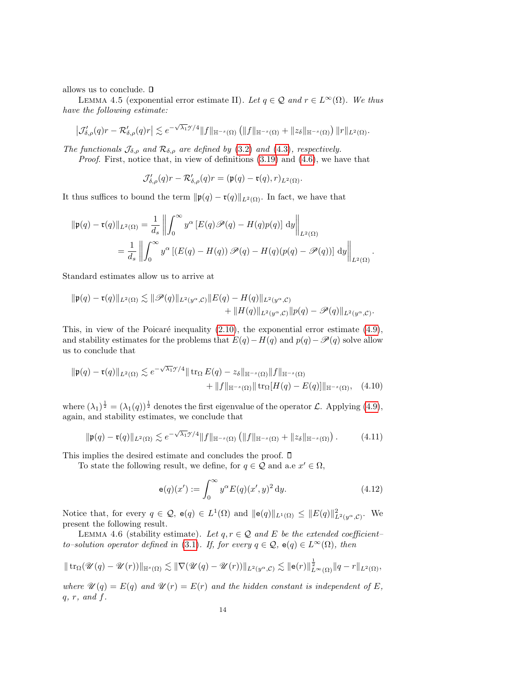allows us to conclude.  $\square$ 

<span id="page-13-0"></span>LEMMA 4.5 (exponential error estimate II). Let  $q \in \mathcal{Q}$  and  $r \in L^{\infty}(\Omega)$ . We thus have the following estimate:

$$
\left|\mathcal{J}_{\delta,\rho}'(q)r-\mathcal{R}_{\delta,\rho}'(q)r\right|\lesssim e^{-\sqrt{\lambda_1}\mathcal{I}/4}\|f\|_{\mathbb{H}^{-s}(\Omega)}\left(\|f\|_{\mathbb{H}^{-s}(\Omega)}+\|z_\delta\|_{\mathbb{H}^{-s}(\Omega)}\right)\|r\|_{L^2(\Omega)}.
$$

The functionals  $\mathcal{J}_{\delta,\rho}$  and  $\mathcal{R}_{\delta,\rho}$  are defined by [\(3.2\)](#page-5-5) and [\(4.3\)](#page-11-4), respectively.

Proof. First, notice that, in view of definitions [\(3.19\)](#page-9-0) and [\(4.6\)](#page-11-2), we have that

$$
\mathcal{J}_{\delta,\rho}'(q)r - \mathcal{R}_{\delta,\rho}'(q)r = (\mathfrak{p}(q) - \mathfrak{r}(q),r)_{L^2(\Omega)}.
$$

It thus suffices to bound the term  $\|\mathfrak{p}(q) - \mathfrak{r}(q)\|_{L^2(\Omega)}$ . In fact, we have that

$$
\|\mathfrak{p}(q) - \mathfrak{r}(q)\|_{L^2(\Omega)} = \frac{1}{d_s} \left\| \int_0^\infty y^\alpha \left[ E(q) \mathscr{P}(q) - H(q) p(q) \right] dy \right\|_{L^2(\Omega)}
$$
  
= 
$$
\frac{1}{d_s} \left\| \int_0^\infty y^\alpha \left[ \left( E(q) - H(q) \right) \mathscr{P}(q) - H(q) (p(q) - \mathscr{P}(q)) \right] dy \right\|_{L^2(\Omega)}.
$$

Standard estimates allow us to arrive at

$$
\|\mathfrak{p}(q)-\mathfrak{r}(q)\|_{L^2(\Omega)} \lesssim \|\mathscr{P}(q)\|_{L^2(y^{\alpha},\mathcal{C})} \|E(q)-H(q)\|_{L^2(y^{\alpha},\mathcal{C})} + \|H(q)\|_{L^2(y^{\alpha},\mathcal{C})} \|p(q)-\mathscr{P}(q)\|_{L^2(y^{\alpha},\mathcal{C})}.
$$

This, in view of the Poicaré inequality  $(2.10)$ , the exponential error estimate  $(4.9)$ , and stability estimates for the problems that  $E(q) - H(q)$  and  $p(q) - \mathscr{P}(q)$  solve allow us to conclude that

$$
\|\mathfrak{p}(q) - \mathfrak{r}(q)\|_{L^{2}(\Omega)} \lesssim e^{-\sqrt{\lambda_{1}}\mathcal{I}/4} \|\operatorname{tr}_{\Omega} E(q) - z_{\delta}\|_{\mathbb{H}^{-s}(\Omega)} \|f\|_{\mathbb{H}^{-s}(\Omega)} + \|f\|_{\mathbb{H}^{-s}(\Omega)} \|\operatorname{tr}_{\Omega}[H(q) - E(q)]\|_{\mathbb{H}^{-s}(\Omega)}, \quad (4.10)
$$

where  $(\lambda_1)^{\frac{1}{2}} = (\lambda_1(q))^{\frac{1}{2}}$  denotes the first eigenvalue of the operator  $\mathcal{L}$ . Applying [\(4.9\)](#page-12-1), again, and stability estimates, we conclude that

$$
\|\mathfrak{p}(q)-\mathfrak{r}(q)\|_{L^{2}(\Omega)}\lesssim e^{-\sqrt{\lambda_{1}}\mathcal{I}/4}\|f\|_{\mathbb{H}^{-s}(\Omega)}\left(\|f\|_{\mathbb{H}^{-s}(\Omega)}+\|z_{\delta}\|_{\mathbb{H}^{-s}(\Omega)}\right). \tag{4.11}
$$

This implies the desired estimate and concludes the proof.  $\square$ 

To state the following result, we define, for  $q \in \mathcal{Q}$  and a.e  $x' \in \Omega$ ,

$$
\mathsf{e}(q)(x') := \int_0^\infty y^\alpha E(q)(x', y)^2 dy. \tag{4.12}
$$

Notice that, for every  $q \in \mathcal{Q}$ ,  $e(q) \in L^1(\Omega)$  and  $||e(q)||_{L^1(\Omega)} \leq ||E(q)||_{L^2(y^{\alpha}, \mathcal{C})}^2$ . We present the following result.

<span id="page-13-1"></span>LEMMA 4.6 (stability estimate). Let  $q, r \in \mathcal{Q}$  and E be the extended coefficient– to–solution operator defined in [\(3.1\)](#page-5-4). If, for every  $q \in \mathcal{Q}$ ,  $e(q) \in L^{\infty}(\Omega)$ , then

$$
\|\operatorname{tr}_{\Omega}(\mathscr{U}(q)-\mathscr{U}(r))\|_{\mathbb{H}^{s}(\Omega)} \lesssim \|\nabla(\mathscr{U}(q)-\mathscr{U}(r))\|_{L^{2}(y^{\alpha},\mathcal{C})} \lesssim \|\mathsf{e}(r)\|_{L^{\infty}(\Omega)}^{\frac{1}{2}}\|q-r\|_{L^{2}(\Omega)},
$$

where  $\mathscr{U}(q) = E(q)$  and  $\mathscr{U}(r) = E(r)$  and the hidden constant is independent of E,  $q, r, and f.$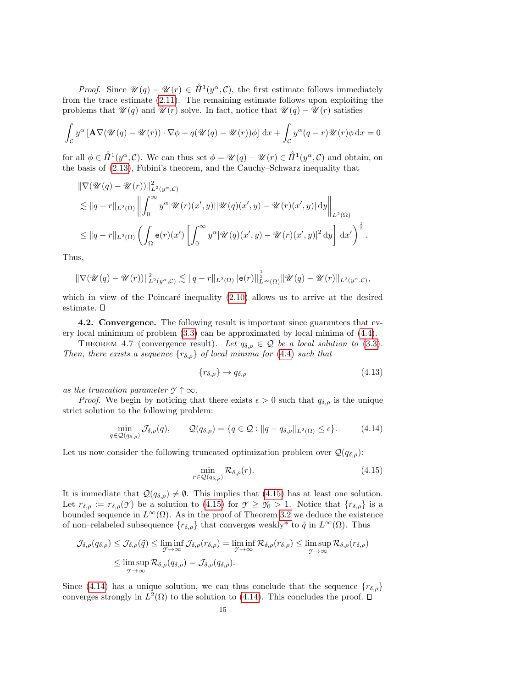*Proof.* Since  $\mathscr{U}(q) - \mathscr{U}(r) \in \mathring{H}^1(y^{\alpha}, \mathcal{C})$ , the first estimate follows immediately from the trace estimate [\(2.11\)](#page-4-5). The remaining estimate follows upon exploiting the problems that  $\mathscr{U}(q)$  and  $\mathscr{U}(r)$  solve. In fact, notice that  $\mathscr{U}(q) - \mathscr{U}(r)$  satisfies

$$
\int_{\mathcal{C}} y^{\alpha} \left[ \mathbf{A} \nabla (\mathcal{U}(q) - \mathcal{U}(r)) \cdot \nabla \phi + q(\mathcal{U}(q) - \mathcal{U}(r)) \phi \right] dx + \int_{\mathcal{C}} y^{\alpha} (q - r) \mathcal{U}(r) \phi dx = 0
$$

for all  $\phi \in \mathring{H}^1(y^\alpha, \mathcal{C})$ . We can thus set  $\phi = \mathscr{U}(q) - \mathscr{U}(r) \in \mathring{H}^1(y^\alpha, \mathcal{C})$  and obtain, on the basis of [\(2.13\)](#page-4-7), Fubini's theorem, and the Cauchy–Schwarz inequality that

$$
\|\nabla(\mathscr{U}(q)-\mathscr{U}(r))\|_{L^{2}(y^{\alpha},\mathcal{C})}^{2}
$$
  
\n
$$
\lesssim \|q-r\|_{L^{2}(\Omega)} \left\| \int_{0}^{\infty} y^{\alpha} |\mathscr{U}(r)(x',y)| |\mathscr{U}(q)(x',y)-\mathscr{U}(r)(x',y)| dy \right\|_{L^{2}(\Omega)}
$$
  
\n
$$
\leq \|q-r\|_{L^{2}(\Omega)} \left( \int_{\Omega} e(r)(x') \left[ \int_{0}^{\infty} y^{\alpha} |\mathscr{U}(q)(x',y)-\mathscr{U}(r)(x',y)|^{2} dy \right] dx' \right)^{\frac{1}{2}}.
$$

Thus,

$$
\|\nabla(\mathscr{U}(q)-\mathscr{U}(r))\|_{L^2(y^{\alpha},\mathcal{C})}^2 \lesssim \|q-r\|_{L^2(\Omega)}\|\mathbf{e}(r)\|_{L^{\infty}(\Omega)}^{\frac{1}{2}}\|\mathscr{U}(q)-\mathscr{U}(r)\|_{L^2(y^{\alpha},\mathcal{C})},
$$

which in view of the Poincaré inequality  $(2.10)$  allows us to arrive at the desired estimate.

4.2. Convergence. The following result is important since guarantees that every local minimum of problem [\(3.3\)](#page-5-1) can be approximated by local minima of [\(4.4\)](#page-11-1).

THEOREM 4.7 (convergence result). Let  $q_{\delta,\rho} \in \mathcal{Q}$  be a local solution to [\(3.3\)](#page-5-1). Then, there exists a sequence  $\{r_{\delta,\rho}\}\$  of local minima for [\(4.4\)](#page-11-1) such that

$$
\{r_{\delta,\rho}\} \to q_{\delta,\rho} \tag{4.13}
$$

as the truncation parameter  $\gamma \uparrow \infty$ .

*Proof.* We begin by noticing that there exists  $\epsilon > 0$  such that  $q_{\delta,\rho}$  is the unique strict solution to the following problem:

<span id="page-14-1"></span>
$$
\min_{q \in \mathcal{Q}(q_{\delta,\rho})} \mathcal{J}_{\delta,\rho}(q), \qquad \mathcal{Q}(q_{\delta,\rho}) = \{q \in \mathcal{Q} : ||q - q_{\delta,\rho}||_{L^2(\Omega)} \le \epsilon\}.
$$
\n(4.14)

Let us now consider the following truncated optimization problem over  $\mathcal{Q}(q_{\delta,\rho})$ :

<span id="page-14-0"></span>
$$
\min_{r \in \mathcal{Q}(q_{\delta,\rho})} \mathcal{R}_{\delta,\rho}(r). \tag{4.15}
$$

It is immediate that  $\mathcal{Q}(q_{\delta,\rho})\neq\emptyset$ . This implies that [\(4.15\)](#page-14-0) has at least one solution. Let  $r_{\delta,\rho} := r_{\delta,\rho}(\mathcal{Y})$  be a solution to [\(4.15\)](#page-14-0) for  $\mathcal{Y} \geq \mathcal{Y}_0 > 1$ . Notice that  $\{r_{\delta,\rho}\}\$ is a bounded sequence in  $L^{\infty}(\Omega)$ . As in the proof of Theorem [3.2](#page-6-2) we deduce the existence of non–relabeled subsequence  $\{r_{\delta,\rho}\}\)$  that converges weakly\* to  $\tilde{q}$  in  $L^{\infty}(\Omega)$ . Thus

$$
\mathcal{J}_{\delta,\rho}(q_{\delta,\rho}) \leq \mathcal{J}_{\delta,\rho}(\tilde{q}) \leq \liminf_{\gamma \to \infty} \mathcal{J}_{\delta,\rho}(r_{\delta,\rho}) = \liminf_{\gamma \to \infty} \mathcal{R}_{\delta,\rho}(r_{\delta,\rho}) \leq \limsup_{\gamma \to \infty} \mathcal{R}_{\delta,\rho}(r_{\delta,\rho})
$$
  

$$
\leq \limsup_{\gamma \to \infty} \mathcal{R}_{\delta,\rho}(q_{\delta,\rho}) = \mathcal{J}_{\delta,\rho}(q_{\delta,\rho}).
$$

Since [\(4.14\)](#page-14-1) has a unique solution, we can thus conclude that the sequence  ${r_{\delta,\rho}}$ converges strongly in  $L^2(\Omega)$  to the solution to [\(4.14\)](#page-14-1). This concludes the proof.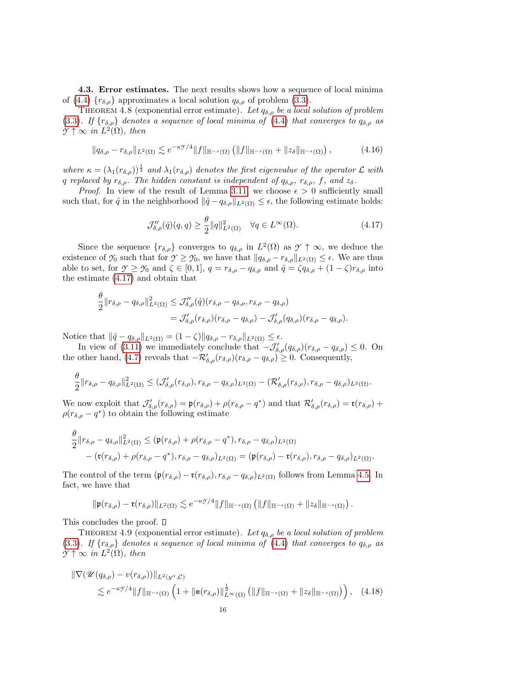<span id="page-15-0"></span>4.3. Error estimates. The next results shows how a sequence of local minima of [\(4.4\)](#page-11-1)  $\{r_{\delta,\rho}\}\$ approximates a local solution  $q_{\delta,\rho}$  of problem [\(3.3\)](#page-5-1).

THEOREM 4.8 (exponential error estimate). Let  $q_{\delta,\rho}$  be a local solution of problem [\(3.3\)](#page-5-1). If  $\{r_{\delta,\rho}\}\$  denotes a sequence of local minima of [\(4.4\)](#page-11-1) that converges to  $q_{\delta,\rho}$  as  $\mathcal{Y} \uparrow \infty$  in  $L^2(\Omega)$ , then

<span id="page-15-3"></span>
$$
||q_{\delta,\rho}-r_{\delta,\rho}||_{L^{2}(\Omega)} \lesssim e^{-\kappa \mathcal{V}/4}||f||_{\mathbb{H}^{-s}(\Omega)}\left(||f||_{\mathbb{H}^{-s}(\Omega)}+||z_{\delta}||_{\mathbb{H}^{-s}(\Omega)}\right),\tag{4.16}
$$

where  $\kappa = (\lambda_1(r_{\delta,\rho}))^{\frac{1}{2}}$  and  $\lambda_1(r_{\delta,\rho})$  denotes the first eigenvalue of the operator  $\mathcal L$  with q replaced by  $r_{\delta,\rho}$ . The hidden constant is independent of  $q_{\delta,\rho}$ ,  $r_{\delta,\rho}$ , f, and  $z_{\delta}$ .

*Proof.* In view of the result of Lemma [3.11,](#page-10-0) we choose  $\epsilon > 0$  sufficiently small such that, for  $\hat{q}$  in the neighborhood  $\|\hat{q} - q_{\delta,\rho}\|_{L^2(\Omega)} \leq \epsilon$ , the following estimate holds:

<span id="page-15-1"></span>
$$
\mathcal{J}_{\delta,\rho}''(\hat{q})(q,q) \ge \frac{\theta}{2} ||q||_{L^2(\Omega)}^2 \quad \forall q \in L^\infty(\Omega). \tag{4.17}
$$

Since the sequence  ${r_{\delta,\rho}}$  converges to  $q_{\delta,\rho}$  in  $L^2(\Omega)$  as  $\gamma \uparrow \infty$ , we deduce the existence of  $\mathcal{Y}_0$  such that for  $\mathcal{Y} \geq \mathcal{Y}_0$ , we have that  $||q_{\delta,\rho} - r_{\delta,\rho}||_{L^2(\Omega)} \leq \epsilon$ . We are thus able to set, for  $\gamma \geq \gamma_0$  and  $\zeta \in [0,1]$ ,  $q = r_{\delta,\rho} - q_{\delta,\rho}$  and  $\hat{q} = \zeta q_{\delta,\rho} + (1 - \zeta) r_{\delta,\rho}$  into the estimate [\(4.17\)](#page-15-1) and obtain that

$$
\frac{\theta}{2} ||r_{\delta,\rho} - q_{\delta,\rho}||_{L^2(\Omega)}^2 \leq \mathcal{J}_{\delta,\rho}''(\hat{q}) (r_{\delta,\rho} - q_{\delta,\rho}, r_{\delta,\rho} - q_{\delta,\rho})
$$
  
=  $\mathcal{J}_{\delta,\rho}'(r_{\delta,\rho}) (r_{\delta,\rho} - q_{\delta,\rho}) - \mathcal{J}_{\delta,\rho}'(q_{\delta,\rho}) (r_{\delta,\rho} - q_{\delta,\rho}).$ 

Notice that  $\|\hat{q} - q_{\delta,\rho}\|_{L^2(\Omega)} = (1 - \zeta)\|q_{\delta,\rho} - r_{\delta,\rho}\|_{L^2(\Omega)} \leq \epsilon$ .

In view of [\(3.11\)](#page-8-0) we immediately conclude that  $-\mathcal{J}'_{\delta,\rho}(q_{\delta,\rho})(r_{\delta,\rho}-q_{\delta,\rho}) \leq 0$ . On the other hand, [\(4.7\)](#page-12-2) reveals that  $-\mathcal{R}'_{\delta,\rho}(r_{\delta,\rho})(r_{\delta,\rho} - q_{\delta,\rho}) \geq 0$ . Consequently,

$$
\frac{\theta}{2}||r_{\delta,\rho}-q_{\delta,\rho}||_{L^{2}(\Omega)}^{2} \leq (\mathcal{J}_{\delta,\rho}^{\prime}(r_{\delta,\rho}),r_{\delta,\rho}-q_{\delta,\rho})_{L^{2}(\Omega)}-(\mathcal{R}_{\delta,\rho}^{\prime}(r_{\delta,\rho}),r_{\delta,\rho}-q_{\delta,\rho})_{L^{2}(\Omega)}.
$$

We now exploit that  $\mathcal{J}'_{\delta,\rho}(r_{\delta,\rho}) = \mathfrak{p}(r_{\delta,\rho}) + \rho(r_{\delta,\rho} - q^*)$  and that  $\mathcal{R}'_{\delta,\rho}(r_{\delta,\rho}) = \mathfrak{r}(r_{\delta,\rho}) +$  $\rho(r_{\delta,\rho}-q^*)$  to obtain the following estimate

$$
\frac{\theta}{2} ||r_{\delta,\rho} - q_{\delta,\rho}||_{L^2(\Omega)}^2 \le (\mathfrak{p}(r_{\delta,\rho}) + \rho(r_{\delta,\rho} - q^*), r_{\delta,\rho} - q_{\delta,\rho})_{L^2(\Omega)} - (\mathfrak{r}(r_{\delta,\rho}) + \rho(r_{\delta,\rho} - q^*), r_{\delta,\rho} - q_{\delta,\rho})_{L^2(\Omega)} = (\mathfrak{p}(r_{\delta,\rho}) - \mathfrak{r}(r_{\delta,\rho}), r_{\delta,\rho} - q_{\delta,\rho})_{L^2(\Omega)}.
$$

The control of the term  $(\mathfrak{p}(r_{\delta,\rho}) - \mathfrak{r}(r_{\delta,\rho}), r_{\delta,\rho} - q_{\delta,\rho})_{L^2(\Omega)}$  follows from Lemma [4.5.](#page-13-0) In fact, we have that

<span id="page-15-2"></span>
$$
\|\mathfrak{p}(r_{\delta,\rho})-\mathfrak{r}(r_{\delta,\rho})\|_{L^2(\Omega)}\lesssim e^{-\kappa\mathfrak{H}/4}\|f\|_{\mathbb{H}^{-s}(\Omega)}\left(\|f\|_{\mathbb{H}^{-s}(\Omega)}+\|z_\delta\|_{\mathbb{H}^{-s}(\Omega)}\right).
$$

This concludes the proof.  $\square$ 

THEOREM 4.9 (exponential error estimate). Let  $q_{\delta,\rho}$  be a local solution of problem [\(3.3\)](#page-5-1). If  $\{r_{\delta,\rho}\}\$  denotes a sequence of local minima of [\(4.4\)](#page-11-1) that converges to  $q_{\delta,\rho}$  as  $\mathcal{Y} \uparrow \infty$  in  $L^2(\Omega)$ , then

$$
\|\nabla(\mathscr{U}(q_{\delta,\rho})-v(r_{\delta,\rho}))\|_{L^{2}(y^{\alpha},\mathcal{C})}\n\n\lesssim e^{-\kappa\mathscr{S}/4}\|f\|_{\mathbb{H}^{-s}(\Omega)}\left(1+\|\mathbf{e}(r_{\delta,\rho})\|_{L^{\infty}(\Omega)}^{\frac{1}{2}}\left(\|f\|_{\mathbb{H}^{-s}(\Omega)}+\|z_{\delta}\|_{\mathbb{H}^{-s}(\Omega)}\right)\right),\n\quad(4.18)
$$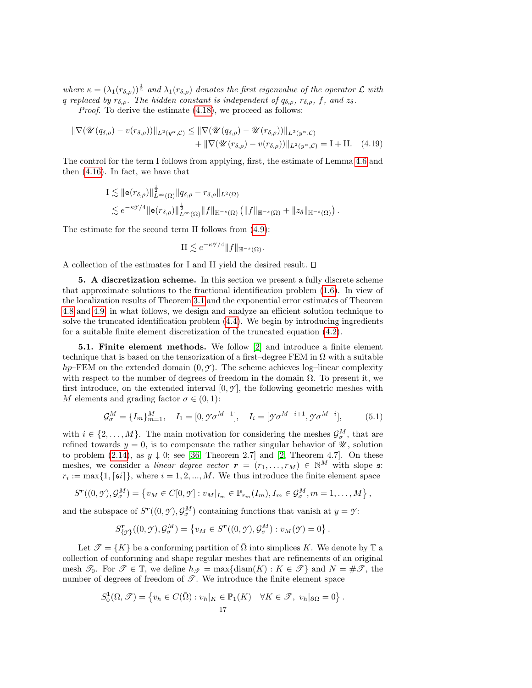where  $\kappa = (\lambda_1(r_{\delta,\rho}))^{\frac{1}{2}}$  and  $\lambda_1(r_{\delta,\rho})$  denotes the first eigenvalue of the operator  $\mathcal L$  with q replaced by  $r_{\delta,\rho}$ . The hidden constant is independent of  $q_{\delta,\rho}$ ,  $r_{\delta,\rho}$ , f, and  $z_{\delta}$ .

Proof. To derive the estimate  $(4.18)$ , we proceed as follows:

$$
\|\nabla(\mathscr{U}(q_{\delta,\rho}) - v(r_{\delta,\rho}))\|_{L^2(y^{\alpha},\mathcal{C})} \le \|\nabla(\mathscr{U}(q_{\delta,\rho}) - \mathscr{U}(r_{\delta,\rho}))\|_{L^2(y^{\alpha},\mathcal{C})} + \|\nabla(\mathscr{U}(r_{\delta,\rho}) - v(r_{\delta,\rho}))\|_{L^2(y^{\alpha},\mathcal{C})} = I + II. \quad (4.19)
$$

The control for the term I follows from applying, first, the estimate of Lemma [4.6](#page-13-1) and then [\(4.16\)](#page-15-3). In fact, we have that

$$
\begin{split} \mathrm{I} &\lesssim \|\mathbf{e}(r_{\delta,\rho})\|_{L^{\infty}(\Omega)}^{\frac{1}{2}}\|q_{\delta,\rho}-r_{\delta,\rho}\|_{L^{2}(\Omega)}\\ &\lesssim e^{-\kappa\mathcal{F}/4}\|\mathbf{e}(r_{\delta,\rho})\|_{L^{\infty}(\Omega)}^{\frac{1}{2}}\|f\|_{\mathbb{H}^{-s}(\Omega)}\left(\|f\|_{\mathbb{H}^{-s}(\Omega)}+\|z_{\delta}\|_{\mathbb{H}^{-s}(\Omega)}\right). \end{split}
$$

The estimate for the second term II follows from [\(4.9\)](#page-12-1):

$$
\mathcal{H} \lesssim e^{-\kappa \mathcal{I}/4} \|f\|_{\mathbb{H}^{-s}(\Omega)}.
$$

A collection of the estimates for I and II yield the desired result.

5. A discretization scheme. In this section we present a fully discrete scheme that approximate solutions to the fractional identification problem [\(1.6\)](#page-1-1). In view of the localization results of Theorem [3.1](#page-6-3) and the exponential error estimates of Theorem [4.8](#page-15-3) and [4.9,](#page-15-2) in what follows, we design and analyze an efficient solution technique to solve the truncated identification problem [\(4.4\)](#page-11-1). We begin by introducing ingredients for a suitable finite element discretization of the truncated equation [\(4.2\)](#page-11-3).

<span id="page-16-0"></span>5.1. Finite element methods. We follow [\[2\]](#page-23-12) and introduce a finite element technique that is based on the tensorization of a first–degree FEM in  $\Omega$  with a suitable  $hp$ –FEM on the extended domain  $(0, \mathcal{Y})$ . The scheme achieves log–linear complexity with respect to the number of degrees of freedom in the domain  $\Omega$ . To present it, we first introduce, on the extended interval  $[0, \gamma]$ , the following geometric meshes with M elements and grading factor  $\sigma \in (0,1)$ :

<span id="page-16-1"></span>
$$
\mathcal{G}_{\sigma}^{M} = \{I_{m}\}_{m=1}^{M}, \quad I_{1} = [0, \mathcal{Y}_{\sigma}^{M-1}], \quad I_{i} = [\mathcal{Y}_{\sigma}^{M-i+1}, \mathcal{Y}_{\sigma}^{M-i}], \quad (5.1)
$$

with  $i \in \{2, ..., M\}$ . The main motivation for considering the meshes  $\mathcal{G}_{\sigma}^M$ , that are refined towards  $y = 0$ , is to compensate the rather singular behavior of  $\mathscr{U}$ , solution to problem [\(2.14\)](#page-4-3), as  $y \downarrow 0$ ; see [\[36,](#page-24-8) Theorem 2.7] and [\[2,](#page-23-12) Theorem 4.7]. On these meshes, we consider a linear degree vector  $\mathbf{r} = (r_1, \ldots, r_M) \in \mathbb{N}^M$  with slope s:  $r_i := \max\{1, \lceil \mathfrak{s}i \rceil\},\$  where  $i = 1, 2, ..., M$ . We thus introduce the finite element space

$$
S^{\mathbf{r}}((0,\mathbf{y}),\mathcal{G}_{\sigma}^{M}) = \left\{ v_{M} \in C[0,\mathbf{y}] : v_{M}|_{I_{m}} \in \mathbb{P}_{r_{m}}(I_{m}), I_{m} \in \mathcal{G}_{\sigma}^{M}, m = 1,\ldots,M \right\},\
$$

and the subspace of  $S^{r}((0, \mathcal{Y}), \mathcal{G}_{\sigma}^{M})$  containing functions that vanish at  $y = \mathcal{Y}$ :

$$
S^{\mathbf{r}}_{\{\mathcal{I}\}}((0,\mathcal{Y}),\mathcal{G}^M_{\sigma}) = \left\{ v_M \in S^{\mathbf{r}}((0,\mathcal{Y}),\mathcal{G}^M_{\sigma}) : v_M(\mathcal{Y}) = 0 \right\}.
$$

Let  $\mathcal{T} = \{K\}$  be a conforming partition of  $\Omega$  into simplices K. We denote by T a collection of conforming and shape regular meshes that are refinements of an original mesh  $\mathcal{T}_0$ . For  $\mathcal{T} \in \mathbb{T}$ , we define  $h_{\mathcal{T}} = \max\{\text{diam}(K) : K \in \mathcal{T}\}\$  and  $N = \#\mathcal{T}$ , the number of degrees of freedom of  $\mathscr{T}$ . We introduce the finite element space

$$
S_0^1(\Omega, \mathcal{T}) = \{ v_h \in C(\bar{\Omega}) : v_h|_K \in \mathbb{P}_1(K) \quad \forall K \in \mathcal{T}, \ v_h|_{\partial\Omega} = 0 \}
$$

.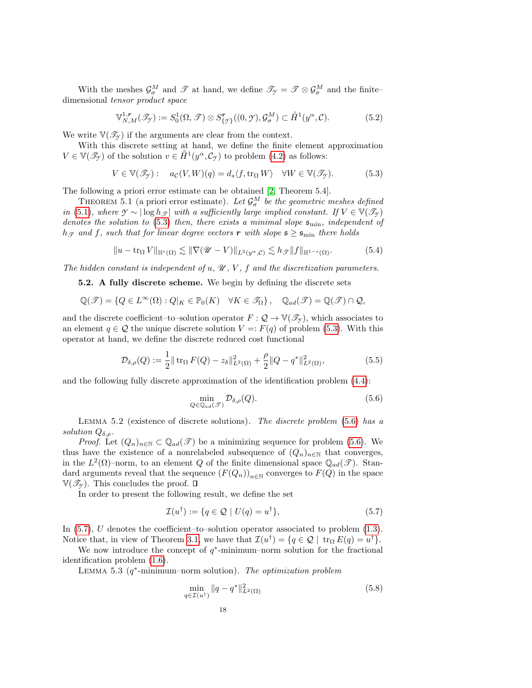With the meshes  $\mathcal{G}^M_\sigma$  and  $\mathcal T$  at hand, we define  $\mathcal{T}_{\mathcal T}=\mathcal T\otimes\mathcal{G}^M_\sigma$  and the finite– dimensional tensor product space

$$
\mathbb{V}_{N,M}^{1,r}(\mathcal{I}_{\mathcal{I}}) := S_0^1(\Omega,\mathcal{I}) \otimes S_{\{\mathcal{I}\}}^r((0,\mathcal{I}),\mathcal{G}_{\sigma}^M) \subset \mathring{H}^1(\mathcal{Y}^{\alpha},\mathcal{C}).
$$
\n(5.2)

We write  $\mathbb{V}(\mathcal{I}_{\gamma})$  if the arguments are clear from the context.

With this discrete setting at hand, we define the finite element approximation  $V \in \mathbb{V}(\mathcal{I}_{\mathcal{F}})$  of the solution  $v \in \mathring{H}^1(y^{\alpha}, \mathcal{C}_{\mathcal{F}})$  to problem [\(4.2\)](#page-11-3) as follows:

<span id="page-17-1"></span>
$$
V \in \mathbb{V}(\mathcal{I}_{\mathcal{I}}): \quad a_{\mathcal{C}}(V, W)(q) = d_s \langle f, \text{tr}_{\Omega} W \rangle \quad \forall W \in \mathbb{V}(\mathcal{I}_{\mathcal{I}}).
$$
 (5.3)

The following a priori error estimate can be obtained [\[2,](#page-23-12) Theorem 5.4].

THEOREM 5.1 (a priori error estimate). Let  $\mathcal{G}_{\sigma}^M$  be the geometric meshes defined *in* [\(5.1\)](#page-16-1), where  $\mathcal{Y} \sim |\log h_{\mathcal{I}}|$  with a sufficiently large implied constant. If  $V \in \mathbb{V}(\mathcal{I}_{\mathcal{Y}})$ denotes the solution to [\(5.3\)](#page-17-1) then, there exists a minimal slope  $\mathfrak{s}_{\min}$ , independent of  $h_{\mathscr{T}}$  and f, such that for linear degree vectors r with slope  $\mathfrak{s} \geq \mathfrak{s}_{\text{min}}$  there holds

$$
||u - \operatorname{tr}_{\Omega} V||_{\mathbb{H}^{s}(\Omega)} \lesssim ||\nabla (\mathscr{U} - V)||_{L^{2}(y^{\alpha}, \mathcal{C})} \lesssim h_{\mathscr{T}} ||f||_{\mathbb{H}^{1-s}(\Omega)}.
$$
 (5.4)

<span id="page-17-0"></span>The hidden constant is independent of  $u, \mathcal{U}, V, f$  and the discretization parameters.

5.2. A fully discrete scheme. We begin by defining the discrete sets

$$
\mathbb{Q}(\mathscr{T}) = \{ Q \in L^{\infty}(\Omega) : Q|_{K} \in \mathbb{P}_{0}(K) \quad \forall K \in \mathscr{T}_{\Omega} \}, \quad \mathbb{Q}_{ad}(\mathscr{T}) = \mathbb{Q}(\mathscr{T}) \cap \mathcal{Q},
$$

and the discrete coefficient–to–solution operator  $F: \mathcal{Q} \to \mathbb{V}(\mathcal{I}_{\gamma})$ , which associates to an element  $q \in \mathcal{Q}$  the unique discrete solution  $V =: F(q)$  of problem [\(5.3\)](#page-17-1). With this operator at hand, we define the discrete reduced cost functional

<span id="page-17-6"></span>
$$
\mathcal{D}_{\delta,\rho}(Q) := \frac{1}{2} || \operatorname{tr}_{\Omega} F(Q) - z_{\delta} ||_{L^{2}(\Omega)}^{2} + \frac{\rho}{2} || Q - q^{*} ||_{L^{2}(\Omega)}^{2}, \tag{5.5}
$$

and the following fully discrete approximation of the identification problem [\(4.4\)](#page-11-1):

<span id="page-17-4"></span><span id="page-17-2"></span>
$$
\min_{Q \in \mathbb{Q}_{ad}(\mathcal{F})} \mathcal{D}_{\delta,\rho}(Q). \tag{5.6}
$$

LEMMA 5.2 (existence of discrete solutions). The discrete problem  $(5.6)$  has a solution  $Q_{\delta,\rho}$ .

*Proof.* Let  $(Q_n)_{n\in\mathbb{N}}\subset \mathbb{Q}_{ad}(\mathscr{T})$  be a minimizing sequence for problem [\(5.6\)](#page-17-2). We thus have the existence of a nonrelabeled subsequence of  $(Q_n)_{n\in\mathbb{N}}$  that converges, in the  $L^2(\Omega)$ -norm, to an element Q of the finite dimensional space  $\mathbb{Q}_{ad}(\mathscr{T})$ . Standard arguments reveal that the sequence  $(F(Q_n))_{n\in\mathbb{N}}$  converges to  $F(Q)$  in the space  $V(\mathscr{T}_{\gamma})$ . This concludes the proof.  $\square$ 

In order to present the following result, we define the set

<span id="page-17-3"></span>
$$
\mathcal{I}(u^{\dagger}) := \{ q \in \mathcal{Q} \mid U(q) = u^{\dagger} \},\tag{5.7}
$$

In  $(5.7)$ , U denotes the coefficient–to–solution operator associated to problem  $(1.3)$ . Notice that, in view of Theorem [3.1,](#page-6-3) we have that  $\mathcal{I}(u^{\dagger}) = \{q \in \mathcal{Q} \mid \text{tr}_{\Omega} E(q) = u^{\dagger}\}.$ 

We now introduce the concept of  $q^*$ -minimum–norm solution for the fractional identification problem [\(1.6\)](#page-1-1).

LEMMA 5.3 ( $q^*$ -minimum–norm solution). The optimization problem

<span id="page-17-5"></span>
$$
\min_{q \in \mathcal{I}(u^{\dagger})} \|q - q^*\|_{L^2(\Omega)}^2 \tag{5.8}
$$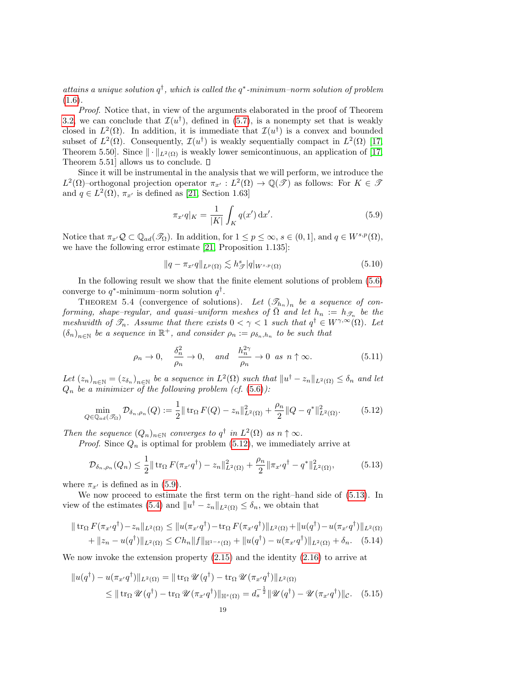attains a unique solution  $q^{\dagger}$ , which is called the  $q^*$ -minimum-norm solution of problem  $(1.6).$  $(1.6).$ 

Proof. Notice that, in view of the arguments elaborated in the proof of Theorem [3.2,](#page-6-2) we can conclude that  $\mathcal{I}(u^{\dagger})$ , defined in [\(5.7\)](#page-17-3), is a nonempty set that is weakly closed in  $L^2(\Omega)$ . In addition, it is immediate that  $\mathcal{I}(u^{\dagger})$  is a convex and bounded subset of  $L^2(\Omega)$ . Consequently,  $\mathcal{I}(u^{\dagger})$  is weakly sequentially compact in  $L^2(\Omega)$  [\[17,](#page-23-19) Theorem 5.50]. Since  $\|\cdot\|_{L^2(\Omega)}$  is weakly lower semicontinuous, an application of [\[17,](#page-23-19) Theorem 5.51 allows us to conclude.  $\square$ 

Since it will be instrumental in the analysis that we will perform, we introduce the  $L^2(\Omega)$ -orthogonal projection operator  $\pi_{x'} : L^2(\Omega) \to \mathbb{Q}(\mathscr{T})$  as follows: For  $K \in \mathscr{T}$ and  $q \in L^2(\Omega)$ ,  $\pi_{x'}$  is defined as [\[21,](#page-23-20) Section 1.63]

<span id="page-18-1"></span>
$$
\pi_{x'}q|_K = \frac{1}{|K|} \int_K q(x') \, \mathrm{d}x'.\tag{5.9}
$$

Notice that  $\pi_{x'}\mathcal{Q} \subset \mathbb{Q}_{ad}(\mathscr{T}_{\Omega})$ . In addition, for  $1 \leq p \leq \infty$ ,  $s \in (0, 1]$ , and  $q \in W^{s,p}(\Omega)$ , we have the following error estimate [\[21,](#page-23-20) Proposition 1.135]:

<span id="page-18-3"></span>
$$
||q - \pi_{x'}q||_{L^{p}(\Omega)} \lesssim h_{\mathscr{T}}^{s}|q|_{W^{s,p}(\Omega)}
$$
\n(5.10)

In the following result we show that the finite element solutions of problem [\(5.6\)](#page-17-2) converge to  $q^*$ -minimum–norm solution  $q^{\dagger}$ .

THEOREM 5.4 (convergence of solutions). Let  $(\mathcal{I}_{h_n})_n$  be a sequence of conforming, shape–regular, and quasi–uniform meshes of  $\overline{\Omega}$  and let  $h_n := h_{\mathscr{T}_n}$  be the meshwidth of  $\mathscr{T}_n$ . Assume that there exists  $0 < \gamma < 1$  such that  $q^{\dagger} \in W^{\gamma, \infty}(\Omega)$ . Let  $(\delta_n)_{n\in\mathbb{N}}$  be a sequence in  $\mathbb{R}^+$ , and consider  $\rho_n := \rho_{\delta_n,h_n}$  to be such that

<span id="page-18-6"></span><span id="page-18-2"></span>
$$
\rho_n \to 0
$$
,  $\frac{\delta_n^2}{\rho_n} \to 0$ , and  $\frac{h_n^{2\gamma}}{\rho_n} \to 0$  as  $n \uparrow \infty$ . (5.11)

Let  $(z_n)_{n\in\mathbb{N}} = (z_{\delta_n})_{n\in\mathbb{N}}$  be a sequence in  $L^2(\Omega)$  such that  $||u^{\dagger} - z_n||_{L^2(\Omega)} \leq \delta_n$  and let  $Q_n$  be a minimizer of the following problem (cf.  $(5.6)$ ):

<span id="page-18-0"></span>
$$
\min_{Q \in \mathbb{Q}_{ad}(\mathscr{T}_{\Omega})} \mathcal{D}_{\delta_n, \rho_n}(Q) := \frac{1}{2} \| \operatorname{tr}_{\Omega} F(Q) - z_n \|_{L^2(\Omega)}^2 + \frac{\rho_n}{2} \| Q - q^* \|_{L^2(\Omega)}^2. \tag{5.12}
$$

Then the sequence  $(Q_n)_{n\in\mathbb{N}}$  converges to  $q^{\dagger}$  in  $L^2(\Omega)$  as  $n \uparrow \infty$ .

*Proof.* Since  $Q_n$  is optimal for problem [\(5.12\)](#page-18-0), we immediately arrive at

<span id="page-18-4"></span>
$$
\mathcal{D}_{\delta_n,\rho_n}(Q_n) \le \frac{1}{2} \|\operatorname{tr}_{\Omega} F(\pi_{x'}q^{\dagger}) - z_n\|_{L^2(\Omega)}^2 + \frac{\rho_n}{2} \|\pi_{x'}q^{\dagger} - q^*\|_{L^2(\Omega)}^2, \tag{5.13}
$$

where  $\pi_{x'}$  is defined as in [\(5.9\)](#page-18-1).

We now proceed to estimate the first term on the right–hand side of [\(5.13\)](#page-18-2). In view of the estimates [\(5.4\)](#page-17-4) and  $||u^{\dagger} - z_n||_{L^2(\Omega)} \leq \delta_n$ , we obtain that

$$
\| \operatorname{tr}_{\Omega} F(\pi_{x'} q^{\dagger}) - z_n \|_{L^2(\Omega)} \le \| u(\pi_{x'} q^{\dagger}) - \operatorname{tr}_{\Omega} F(\pi_{x'} q^{\dagger}) \|_{L^2(\Omega)} + \| u(q^{\dagger}) - u(\pi_{x'} q^{\dagger}) \|_{L^2(\Omega)}
$$
  
+  $||z_n - u(q^{\dagger})||_{L^2(\Omega)} \le C h_n \| f \|_{\mathbb{H}^{1-s}(\Omega)} + \| u(q^{\dagger}) - u(\pi_{x'} q^{\dagger}) \|_{L^2(\Omega)} + \delta_n.$  (5.14)

We now invoke the extension property [\(2.15\)](#page-5-2) and the identity [\(2.16\)](#page-5-3) to arrive at

<span id="page-18-5"></span>
$$
\|u(q^{\dagger}) - u(\pi_{x'}q^{\dagger})\|_{L^{2}(\Omega)} = \|\operatorname{tr}_{\Omega} \mathscr{U}(q^{\dagger}) - \operatorname{tr}_{\Omega} \mathscr{U}(\pi_{x'}q^{\dagger})\|_{L^{2}(\Omega)}
$$
  
\n
$$
\leq \|\operatorname{tr}_{\Omega} \mathscr{U}(q^{\dagger}) - \operatorname{tr}_{\Omega} \mathscr{U}(\pi_{x'}q^{\dagger})\|_{\mathbb{H}^{s}(\Omega)} = d_{s}^{-\frac{1}{2}} \|\mathscr{U}(q^{\dagger}) - \mathscr{U}(\pi_{x'}q^{\dagger})\|_{\mathcal{C}}.
$$
 (5.15)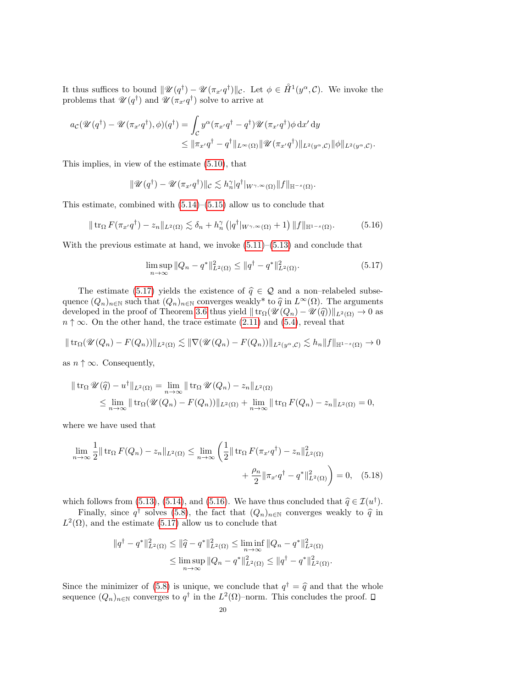It thus suffices to bound  $\|\mathscr{U}(q^{\dagger}) - \mathscr{U}(\pi_{x'}q^{\dagger})\|_{\mathcal{C}}$ . Let  $\phi \in \mathring{H}^1(y^{\alpha}, \mathcal{C})$ . We invoke the problems that  $\mathscr{U}(q^{\dagger})$  and  $\mathscr{U}(\pi_{x'}q^{\dagger})$  solve to arrive at

$$
a_{\mathcal{C}}(\mathscr{U}(q^{\dagger}) - \mathscr{U}(\pi_{x'}q^{\dagger}), \phi)(q^{\dagger}) = \int_{\mathcal{C}} y^{\alpha}(\pi_{x'}q^{\dagger} - q^{\dagger})\mathscr{U}(\pi_{x'}q^{\dagger})\phi \,dx' \,dy
$$
  

$$
\leq \|\pi_{x'}q^{\dagger} - q^{\dagger}\|_{L^{\infty}(\Omega)} \|\mathscr{U}(\pi_{x'}q^{\dagger})\|_{L^{2}(y^{\alpha},\mathcal{C})}\|\phi\|_{L^{2}(y^{\alpha},\mathcal{C})}.
$$

This implies, in view of the estimate [\(5.10\)](#page-18-3), that

$$
\|\mathscr{U}(q^{\dagger})-\mathscr{U}(\pi_{x'}q^{\dagger})\|_{\mathcal{C}}\lesssim h_n^{\gamma}|q^{\dagger}|_{W^{\gamma,\infty}(\Omega)}\|f\|_{\mathbb{H}^{-s}(\Omega)}.
$$

This estimate, combined with  $(5.14)$ – $(5.15)$  allow us to conclude that

$$
\|\operatorname{tr}_{\Omega} F(\pi_{x'}q^{\dagger}) - z_n\|_{L^2(\Omega)} \lesssim \delta_n + h_n^{\gamma} \left( |q^{\dagger}|_{W^{\gamma,\infty}(\Omega)} + 1 \right) \|f\|_{\mathbb{H}^{1-s}(\Omega)}.
$$
 (5.16)

With the previous estimate at hand, we invoke  $(5.11)$ – $(5.13)$  and conclude that

<span id="page-19-1"></span><span id="page-19-0"></span>
$$
\limsup_{n \to \infty} \|Q_n - q^*\|_{L^2(\Omega)}^2 \le \|q^{\dagger} - q^*\|_{L^2(\Omega)}^2.
$$
\n(5.17)

The estimate [\(5.17\)](#page-19-0) yields the existence of  $\hat{q} \in \mathcal{Q}$  and a non–relabeled subsequence  $(Q_n)_{n\in\mathbb{N}}$  such that  $(Q_n)_{n\in\mathbb{N}}$  converges weakly\* to  $\widehat{q}$  in  $L^\infty(\Omega)$ . The arguments developed in the proof of Theorem [3.6](#page-8-6) thus yield  $\|\text{tr}_{\Omega}(\mathcal{U}(Q_n) - \mathcal{U}(\hat{q}))\|_{L^2(\Omega)} \to 0$  as  $n \uparrow \infty$ . On the other hand, the trace estimate [\(2.11\)](#page-4-5) and [\(5.4\)](#page-17-4), reveal that

$$
\|\operatorname{tr}_{\Omega}(\mathscr{U}(Q_n)-F(Q_n))\|_{L^2(\Omega)} \lesssim \|\nabla(\mathscr{U}(Q_n)-F(Q_n))\|_{L^2(y^{\alpha},\mathcal{C})} \lesssim h_n \|f\|_{\mathbb{H}^{1-s}(\Omega)} \to 0
$$

as  $n \uparrow \infty$ . Consequently,

$$
\|\operatorname{tr}_{\Omega} \mathscr{U}(\widehat{q}) - u^{\dagger}\|_{L^{2}(\Omega)} = \lim_{n \to \infty} \|\operatorname{tr}_{\Omega} \mathscr{U}(Q_{n}) - z_{n}\|_{L^{2}(\Omega)}
$$
  
\$\leq\$ 
$$
\lim_{n \to \infty} \|\operatorname{tr}_{\Omega} (\mathscr{U}(Q_{n}) - F(Q_{n}))\|_{L^{2}(\Omega)} + \lim_{n \to \infty} \|\operatorname{tr}_{\Omega} F(Q_{n}) - z_{n}\|_{L^{2}(\Omega)} = 0$,
$$

where we have used that

$$
\lim_{n \to \infty} \frac{1}{2} \|\operatorname{tr}_{\Omega} F(Q_n) - z_n\|_{L^2(\Omega)} \le \lim_{n \to \infty} \left(\frac{1}{2} \|\operatorname{tr}_{\Omega} F(\pi_{x'} q^{\dagger}) - z_n\|_{L^2(\Omega)}^2 + \frac{\rho_n}{2} \|\pi_{x'} q^{\dagger} - q^*\|_{L^2(\Omega)}^2\right) = 0, \quad (5.18)
$$

which follows from [\(5.13\)](#page-18-2), [\(5.14\)](#page-18-4), and [\(5.16\)](#page-19-1). We have thus concluded that  $\hat{q} \in \mathcal{I}(u^{\dagger})$ .<br>Finally, since  $s^{\dagger}$  salves (5.8), the fact that  $(Q_1)$  convenies weakly to  $\hat{s}$  in

Finally, since  $q^{\dagger}$  solves [\(5.8\)](#page-17-5), the fact that  $(Q_n)_{n\in\mathbb{N}}$  converges weakly to  $\hat{q}$  in<br>
(2) and the estimate (5.17) allow us to conclude that  $L^2(\Omega)$ , and the estimate [\(5.17\)](#page-19-0) allow us to conclude that

$$
||q^{\dagger} - q^*||_{L^2(\Omega)}^2 \le ||\widehat{q} - q^*||_{L^2(\Omega)}^2 \le \liminf_{n \to \infty} ||Q_n - q^*||_{L^2(\Omega)}^2
$$
  

$$
\le \limsup_{n \to \infty} ||Q_n - q^*||_{L^2(\Omega)}^2 \le ||q^{\dagger} - q^*||_{L^2(\Omega)}^2.
$$

Since the minimizer of [\(5.8\)](#page-17-5) is unique, we conclude that  $q^{\dagger} = \hat{q}$  and that the whole sequence  $(Q_n)_{n\in\mathbb{N}}$  converges to  $q^{\dagger}$  in the  $L^2(\Omega)$ -norm. This concludes the proof.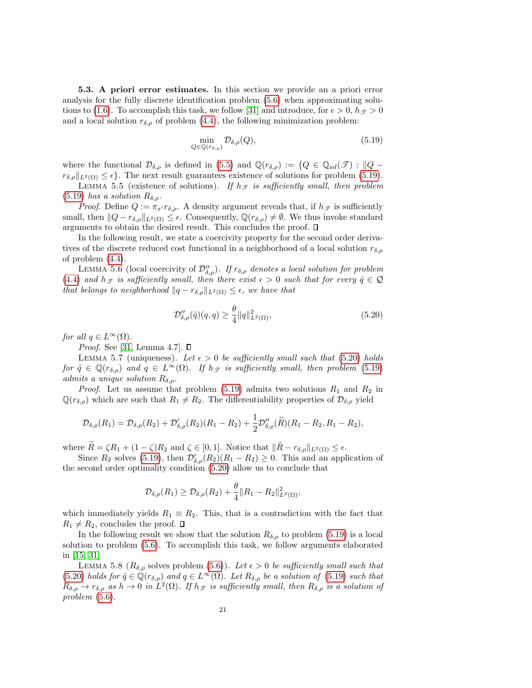<span id="page-20-0"></span>5.3. A priori error estimates. In this section we provide an a priori error analysis for the fully discrete identification problem [\(5.6\)](#page-17-2) when approximating solu-tions to [\(1.6\)](#page-1-1). To accomplish this task, we follow [\[31\]](#page-24-22) and introduce, for  $\epsilon > 0$ ,  $h_{\mathscr{T}} > 0$ and a local solution  $r_{\delta,\rho}$  of problem [\(4.4\)](#page-11-1), the following minimization problem:

<span id="page-20-1"></span>
$$
\min_{Q \in \mathbb{Q}(r_{\delta,\rho})} \mathcal{D}_{\delta,\rho}(Q),\tag{5.19}
$$

where the functional  $\mathcal{D}_{\delta,\rho}$  is defined in [\(5.5\)](#page-17-6) and  $\mathbb{Q}(r_{\delta,\rho}) := \{Q \in \mathbb{Q}_{ad}(\mathscr{T}) : ||Q - \mathscr{T}||\}$  $r_{\delta,\rho}||_{L^2(\Omega)} \leq \epsilon$ . The next result guarantees existence of solutions for problem [\(5.19\)](#page-20-1).

LEMMA 5.5 (existence of solutions). If  $h_{\mathcal{T}}$  is sufficiently small, then problem [\(5.19\)](#page-20-1) has a solution  $R_{\delta,\rho}$ .

*Proof.* Define  $Q := \pi_{x'} r_{\delta,\rho}$ . A density argument reveals that, if  $h_{\mathscr{T}}$  is sufficiently small, then  $||Q - r_{\delta,\rho}||_{L^2(\Omega)} \leq \epsilon$ . Consequently,  $\mathbb{Q}(r_{\delta,\rho}) \neq \emptyset$ . We thus invoke standard arguments to obtain the desired result. This concludes the proof.  $\Box$ 

In the following result, we state a coercivity property for the second order derivatives of the discrete reduced cost functional in a neighborhood of a local solution  $r_{\delta,\rho}$ of problem [\(4.4\)](#page-11-1).

LEMMA 5.6 (local coercivity of  $\mathcal{D}_{\delta,\rho}''$ ). If  $r_{\delta,\rho}$  denotes a local solution for problem [\(4.4\)](#page-11-1) and  $h_{\mathcal{F}}$  is sufficiently small, then there exist  $\epsilon > 0$  such that for every  $\hat{q} \in \mathcal{Q}$ that belongs to neighborhood  $||q - r_{\delta,\rho}||_{L^2(\Omega)} \leq \epsilon$ , we have that

<span id="page-20-2"></span>
$$
\mathcal{D}_{\delta,\rho}''(\hat{q})(q,q) \ge \frac{\theta}{4} ||q||_{L^2(\Omega)}^2,
$$
\n(5.20)

for all  $q \in L^{\infty}(\Omega)$ .

*Proof.* See [\[31,](#page-24-22) Lemma 4.7].  $\square$ 

<span id="page-20-3"></span>LEMMA 5.7 (uniqueness). Let  $\epsilon > 0$  be sufficiently small such that [\(5.20\)](#page-20-2) holds for  $\hat{q} \in \mathbb{Q}(r_{\delta,\rho})$  and  $q \in L^{\infty}(\Omega)$ . If  $h_{\mathscr{T}}$  is sufficiently small, then problem [\(5.19\)](#page-20-1) admits a unique solution  $R_{\delta,\rho}$ .

*Proof.* Let us assume that problem [\(5.19\)](#page-20-1) admits two solutions  $R_1$  and  $R_2$  in  $\mathbb{Q}(r_{\delta,\rho})$  which are such that  $R_1 \neq R_2$ . The differentiability properties of  $\mathcal{D}_{\delta,\rho}$  yield

$$
\mathcal{D}_{\delta,\rho}(R_1) = \mathcal{D}_{\delta,\rho}(R_2) + \mathcal{D}'_{\delta,\rho}(R_2)(R_1 - R_2) + \frac{1}{2}\mathcal{D}''_{\delta,\rho}(\widetilde{R})(R_1 - R_2, R_1 - R_2),
$$

where  $\widetilde{R} = \zeta R_1 + (1 - \zeta)R_2$  and  $\zeta \in [0, 1]$ . Notice that  $\|\widetilde{R} - r_{\delta, \rho}\|_{L^2(\Omega)} \leq \epsilon$ .

Since  $R_2$  solves [\(5.19\)](#page-20-1), then  $\mathcal{D}'_{\delta,\rho}(R_2)(R_1 - R_2) \geq 0$ . This and an application of the second order optimality condition [\(5.20\)](#page-20-2) allow us to conclude that

$$
\mathcal{D}_{\delta,\rho}(R_1) \geq \mathcal{D}_{\delta,\rho}(R_2) + \frac{\theta}{4} ||R_1 - R_2||^2_{L^2(\Omega)},
$$

which immediately yields  $R_1 \equiv R_2$ . This, that is a contradiction with the fact that  $R_1 \neq R_2$ , concludes the proof.  $\Box$ 

In the following result we show that the solution  $R_{\delta,\rho}$  to problem [\(5.19\)](#page-20-1) is a local solution to problem [\(5.6\)](#page-17-2). To accomplish this task, we follow arguments elaborated in [\[15,](#page-23-21) [31\]](#page-24-22)

<span id="page-20-4"></span>LEMMA 5.8 ( $R_{\delta,\rho}$  solves problem [\(5.6\)](#page-17-2)). Let  $\epsilon > 0$  be sufficiently small such that [\(5.20\)](#page-20-2) holds for  $\hat{q} \in \mathbb{Q}(r_{\delta,\rho})$  and  $q \in L^{\infty}(\Omega)$ . Let  $R_{\delta,\rho}$  be a solution of [\(5.19\)](#page-20-1) such that  $R_{\delta,\rho} \to r_{\delta,\rho}$  as  $h \to 0$  in  $L^2(\Omega)$ . If  $h_{\mathscr{T}}$  is sufficiently small, then  $R_{\delta,\rho}$  is a solution of problem [\(5.6\)](#page-17-2).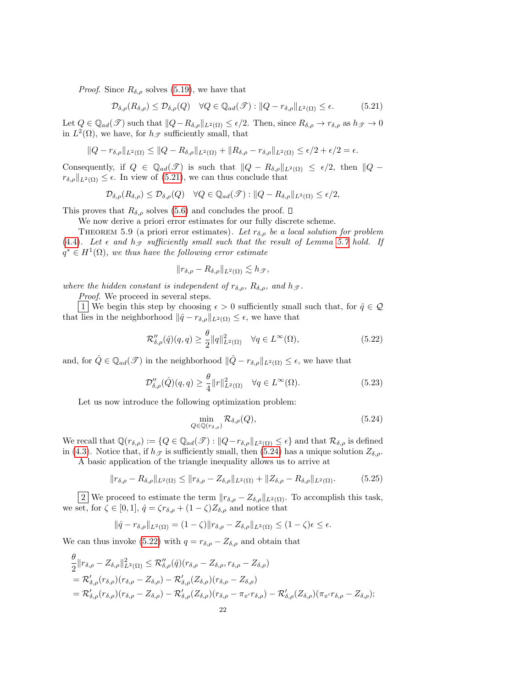*Proof.* Since  $R_{\delta,\rho}$  solves [\(5.19\)](#page-20-1), we have that

<span id="page-21-0"></span>
$$
\mathcal{D}_{\delta,\rho}(R_{\delta,\rho}) \leq \mathcal{D}_{\delta,\rho}(Q) \quad \forall Q \in \mathbb{Q}_{ad}(\mathscr{T}) : ||Q - r_{\delta,\rho}||_{L^2(\Omega)} \leq \epsilon.
$$
 (5.21)

Let  $Q \in \mathbb{Q}_{ad}(\mathscr{T})$  such that  $||Q - R_{\delta,\rho}||_{L^2(\Omega)} \leq \epsilon/2$ . Then, since  $R_{\delta,\rho} \to r_{\delta,\rho}$  as  $h_{\mathscr{T}} \to 0$ in  $L^2(\Omega)$ , we have, for  $h_{\mathscr{T}}$  sufficiently small, that

$$
||Q - r_{\delta,\rho}||_{L^2(\Omega)} \le ||Q - R_{\delta,\rho}||_{L^2(\Omega)} + ||R_{\delta,\rho} - r_{\delta,\rho}||_{L^2(\Omega)} \le \epsilon/2 + \epsilon/2 = \epsilon.
$$

Consequently, if  $Q \in \mathbb{Q}_{ad}(\mathscr{T})$  is such that  $||Q - R_{\delta,\rho}||_{L^2(\Omega)} \leq \epsilon/2$ , then  $||Q$  $r_{\delta,\rho}||_{L^2(\Omega)} \leq \epsilon$ . In view of [\(5.21\)](#page-21-0), we can thus conclude that

$$
\mathcal{D}_{\delta,\rho}(R_{\delta,\rho}) \leq \mathcal{D}_{\delta,\rho}(Q) \quad \forall Q \in \mathbb{Q}_{ad}(\mathscr{T}) : ||Q - R_{\delta,\rho}||_{L^2(\Omega)} \leq \epsilon/2,
$$

This proves that  $R_{\delta,\rho}$  solves [\(5.6\)](#page-17-2) and concludes the proof.  $\Box$ 

We now derive a priori error estimates for our fully discrete scheme.

<span id="page-21-5"></span>THEOREM 5.9 (a priori error estimates). Let  $r_{\delta,\rho}$  be a local solution for problem [\(4.4\)](#page-11-1). Let  $\epsilon$  and  $h_{\mathcal{T}}$  sufficiently small such that the result of Lemma [5.7](#page-20-3) hold. If  $q^* \in H^1(\Omega)$ , we thus have the following error estimate

$$
||r_{\delta,\rho} - R_{\delta,\rho}||_{L^2(\Omega)} \lesssim h_{\mathscr{T}},
$$

where the hidden constant is independent of  $r_{\delta,\rho}$ ,  $R_{\delta,\rho}$ , and  $h_{\mathcal{F}}$ .

Proof. We proceed in several steps.

1 We begin this step by choosing  $\epsilon > 0$  sufficiently small such that, for  $\hat{q} \in \mathcal{Q}$ that lies in the neighborhood  $\|\hat{q} - r_{\delta,\rho}\|_{L^2(\Omega)} \leq \epsilon$ , we have that

<span id="page-21-2"></span>
$$
\mathcal{R}''_{\delta,\rho}(\hat{q})(q,q) \ge \frac{\theta}{2} ||q||^2_{L^2(\Omega)} \quad \forall q \in L^\infty(\Omega),\tag{5.22}
$$

and, for  $\hat{Q} \in \mathbb{Q}_{ad}(\mathscr{T})$  in the neighborhood  $\|\hat{Q} - r_{\delta,\rho}\|_{L^2(\Omega)} \leq \epsilon$ , we have that

<span id="page-21-4"></span>
$$
\mathcal{D}_{\delta,\rho}''(\hat{Q})(q,q) \ge \frac{\theta}{4} ||r||_{L^2(\Omega)}^2 \quad \forall q \in L^\infty(\Omega). \tag{5.23}
$$

Let us now introduce the following optimization problem:

<span id="page-21-1"></span>
$$
\min_{Q \in \mathbb{Q}(r_{\delta,\rho})} \mathcal{R}_{\delta,\rho}(Q),\tag{5.24}
$$

We recall that  $\mathbb{Q}(r_{\delta,\rho}) := \{Q \in \mathbb{Q}_{ad}(\mathscr{T}) : ||Q-r_{\delta,\rho}||_{L^2(\Omega)} \leq \epsilon\}$  and that  $\mathcal{R}_{\delta,\rho}$  is defined in [\(4.3\)](#page-11-4). Notice that, if  $h_{\mathscr{T}}$  is sufficiently small, then [\(5.24\)](#page-21-1) has a unique solution  $Z_{\delta,\rho}$ .

A basic application of the triangle inequality allows us to arrive at

<span id="page-21-3"></span>
$$
||r_{\delta,\rho} - R_{\delta,\rho}||_{L^2(\Omega)} \le ||r_{\delta,\rho} - Z_{\delta,\rho}||_{L^2(\Omega)} + ||Z_{\delta,\rho} - R_{\delta,\rho}||_{L^2(\Omega)}.
$$
 (5.25)

2 We proceed to estimate the term  $||r_{\delta,\rho} - Z_{\delta,\rho}||_{L^2(\Omega)}$ . To accomplish this task, we set, for  $\zeta \in [0,1], \hat{q} = \zeta r_{\delta,\rho} + (1-\zeta)Z_{\delta,\rho}$  and notice that

$$
\|\hat{q}-r_{\delta,\rho}\|_{L^2(\Omega)}=(1-\zeta)\|r_{\delta,\rho}-Z_{\delta,\rho}\|_{L^2(\Omega)}\leq (1-\zeta)\epsilon\leq \epsilon.
$$

We can thus invoke [\(5.22\)](#page-21-2) with  $q = r_{\delta,\rho} - Z_{\delta,\rho}$  and obtain that

$$
\begin{split}\n&\frac{\theta}{2}||r_{\delta,\rho}-Z_{\delta,\rho}||_{L^{2}(\Omega)}^{2} \leq \mathcal{R}_{\delta,\rho}''(\hat{q})(r_{\delta,\rho}-Z_{\delta,\rho},r_{\delta,\rho}-Z_{\delta,\rho}) \\
&= \mathcal{R}_{\delta,\rho}'(r_{\delta,\rho})(r_{\delta,\rho}-Z_{\delta,\rho}) - \mathcal{R}_{\delta,\rho}'(Z_{\delta,\rho})(r_{\delta,\rho}-Z_{\delta,\rho}) \\
&= \mathcal{R}_{\delta,\rho}'(r_{\delta,\rho})(r_{\delta,\rho}-Z_{\delta,\rho}) - \mathcal{R}_{\delta,\rho}'(Z_{\delta,\rho})(r_{\delta,\rho}-\pi_{x'}r_{\delta,\rho}) - \mathcal{R}_{\delta,\rho}'(Z_{\delta,\rho})(\pi_{x'}r_{\delta,\rho}-Z_{\delta,\rho});\n\end{split}
$$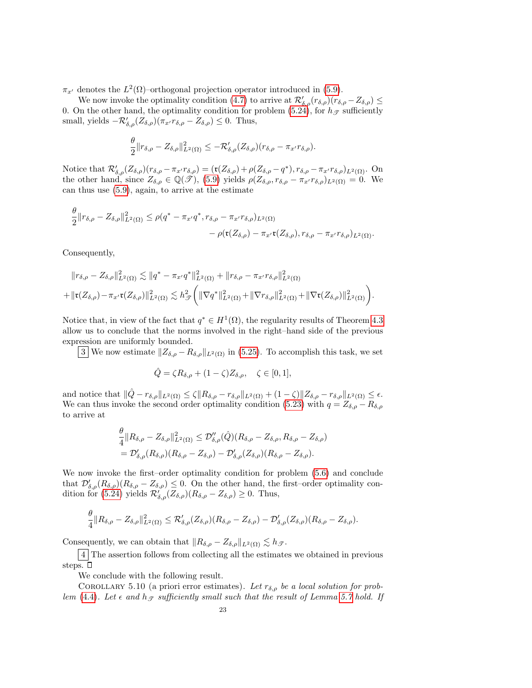$\pi_{x'}$  denotes the  $L^2(\Omega)$ -orthogonal projection operator introduced in [\(5.9\)](#page-18-1).

We now invoke the optimality condition [\(4.7\)](#page-12-2) to arrive at  $\mathcal{R}'_{\delta,\rho}(r_{\delta,\rho})(r_{\delta,\rho}-Z_{\delta,\rho}) \leq$ 0. On the other hand, the optimality condition for problem [\(5.24\)](#page-21-1), for  $h_{\mathscr{T}}$  sufficiently small, yields  $-\mathcal{R}'_{\delta,\rho}(Z_{\delta,\rho})(\pi_{x'}r_{\delta,\rho}-Z_{\delta,\rho})\leq 0$ . Thus,

$$
\frac{\theta}{2} \|r_{\delta,\rho} - Z_{\delta,\rho}\|_{L^2(\Omega)}^2 \leq -\mathcal{R}_{\delta,\rho}'(Z_{\delta,\rho})(r_{\delta,\rho} - \pi_{x'}r_{\delta,\rho}).
$$

Notice that  $\mathcal{R}'_{\delta,\rho}(Z_{\delta,\rho})(r_{\delta,\rho}-\pi_{x'}r_{\delta,\rho}) = (\mathfrak{r}(Z_{\delta,\rho})+\rho(Z_{\delta,\rho}-q^*), r_{\delta,\rho}-\pi_{x'}r_{\delta,\rho})_{L^2(\Omega)}$ . On the other hand, since  $Z_{\delta,\rho} \in \mathbb{Q}(\mathscr{T})$ , [\(5.9\)](#page-18-1) yields  $\rho(Z_{\delta,\rho}, r_{\delta,\rho} - \pi_{x'}r_{\delta,\rho})_{L^2(\Omega)} = 0$ . We can thus use [\(5.9\)](#page-18-1), again, to arrive at the estimate

$$
\frac{\theta}{2} ||r_{\delta,\rho} - Z_{\delta,\rho}||_{L^2(\Omega)}^2 \leq \rho(q^* - \pi_{x'}q^*, r_{\delta,\rho} - \pi_{x'}r_{\delta,\rho})_{L^2(\Omega)} - \rho(\mathfrak{r}(Z_{\delta,\rho}) - \pi_{x'}\mathfrak{r}(Z_{\delta,\rho}), r_{\delta,\rho} - \pi_{x'}r_{\delta,\rho})_{L^2(\Omega)}.
$$

Consequently,

$$
||r_{\delta,\rho} - Z_{\delta,\rho}||_{L^{2}(\Omega)}^{2} \lesssim ||q^{*} - \pi_{x'}q^{*}||_{L^{2}(\Omega)}^{2} + ||r_{\delta,\rho} - \pi_{x'}r_{\delta,\rho}||_{L^{2}(\Omega)}^{2}
$$
  
+ 
$$
||\mathbf{r}(Z_{\delta,\rho}) - \pi_{x'}\mathbf{r}(Z_{\delta,\rho})||_{L^{2}(\Omega)}^{2} \lesssim h_{\mathcal{F}}^{2} (||\nabla q^{*}||_{L^{2}(\Omega)}^{2} + ||\nabla r_{\delta,\rho}||_{L^{2}(\Omega)}^{2} + ||\nabla \mathbf{r}(Z_{\delta,\rho})||_{L^{2}(\Omega)}^{2}).
$$

Notice that, in view of the fact that  $q^* \in H^1(\Omega)$ , the regularity results of Theorem [4.3](#page-12-3) allow us to conclude that the norms involved in the right–hand side of the previous expression are uniformly bounded.

3 We now estimate  $||Z_{\delta,\rho} - R_{\delta,\rho}||_{L^2(\Omega)}$  in [\(5.25\)](#page-21-3). To accomplish this task, we set

$$
\hat{Q} = \zeta R_{\delta,\rho} + (1 - \zeta) Z_{\delta,\rho}, \quad \zeta \in [0,1],
$$

and notice that  $\|\hat{Q} - r_{\delta,\rho}\|_{L^2(\Omega)} \leq \zeta \|R_{\delta,\rho} - r_{\delta,\rho}\|_{L^2(\Omega)} + (1 - \zeta)\|Z_{\delta,\rho} - r_{\delta,\rho}\|_{L^2(\Omega)} \leq \epsilon$ . We can thus invoke the second order optimality condition [\(5.23\)](#page-21-4) with  $q = Z_{\delta,\rho} - R_{\delta,\rho}$ to arrive at

$$
\frac{\theta}{4} ||R_{\delta,\rho} - Z_{\delta,\rho}||_{L^2(\Omega)}^2 \leq \mathcal{D}_{\delta,\rho}''(\hat{Q})(R_{\delta,\rho} - Z_{\delta,\rho}, R_{\delta,\rho} - Z_{\delta,\rho})
$$
  
=  $\mathcal{D}_{\delta,\rho}'(R_{\delta,\rho})(R_{\delta,\rho} - Z_{\delta,\rho}) - \mathcal{D}_{\delta,\rho}'(Z_{\delta,\rho})(R_{\delta,\rho} - Z_{\delta,\rho}).$ 

We now invoke the first–order optimality condition for problem [\(5.6\)](#page-17-2) and conclude that  $\mathcal{D}'_{\delta,\rho}(R_{\delta,\rho}) (R_{\delta,\rho} - Z_{\delta,\rho}) \leq 0$ . On the other hand, the first–order optimality con-dition for [\(5.24\)](#page-21-1) yields  $\mathcal{R}'_{\delta,\rho}(Z_{\delta,\rho})(R_{\delta,\rho}-Z_{\delta,\rho})\geq 0$ . Thus,

$$
\frac{\theta}{4}||R_{\delta,\rho}-Z_{\delta,\rho}||_{L^2(\Omega)}^2 \leq \mathcal{R}'_{\delta,\rho}(Z_{\delta,\rho})(R_{\delta,\rho}-Z_{\delta,\rho})-\mathcal{D}'_{\delta,\rho}(Z_{\delta,\rho})(R_{\delta,\rho}-Z_{\delta,\rho}).
$$

Consequently, we can obtain that  $||R_{\delta,\rho} - Z_{\delta,\rho}||_{L^2(\Omega)} \lesssim h_{\mathcal{F}}$ .

4 The assertion follows from collecting all the estimates we obtained in previous steps.  $\square$ 

We conclude with the following result.

COROLLARY 5.10 (a priori error estimates). Let  $r_{\delta,\rho}$  be a local solution for prob-lem [\(4.4\)](#page-11-1). Let  $\epsilon$  and  $h_{\mathcal{T}}$  sufficiently small such that the result of Lemma [5.7](#page-20-3) hold. If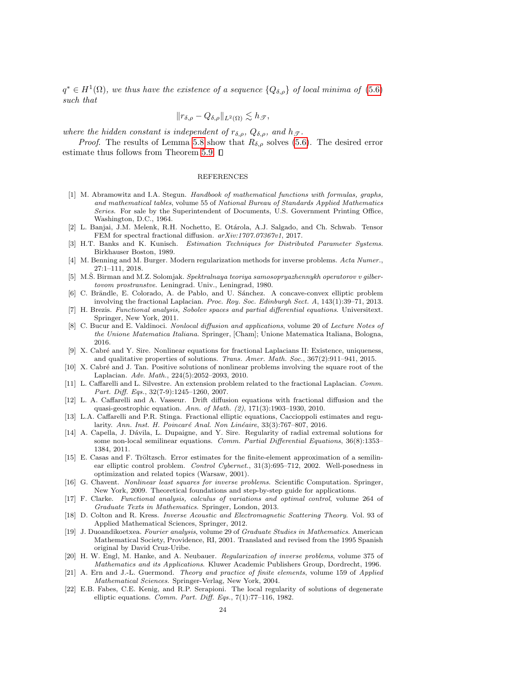$q^* \in H^1(\Omega)$ , we thus have the existence of a sequence  $\{Q_{\delta,\rho}\}\$  of local minima of [\(5.6\)](#page-17-2) such that

$$
||r_{\delta,\rho} - Q_{\delta,\rho}||_{L^2(\Omega)} \lesssim h_{\mathscr{T}},
$$

where the hidden constant is independent of  $r_{\delta,\rho}$ ,  $Q_{\delta,\rho}$ , and  $h_{\mathcal{T}}$ .

*Proof.* The results of Lemma [5.8](#page-20-4) show that  $R_{\delta,\rho}$  solves [\(5.6\)](#page-17-2). The desired error estimate thus follows from Theorem [5.9.](#page-21-5)  $\Box$ 

### REFERENCES

- <span id="page-23-17"></span>[1] M. Abramowitz and I.A. Stegun. Handbook of mathematical functions with formulas, graphs, and mathematical tables, volume 55 of National Bureau of Standards Applied Mathematics Series. For sale by the Superintendent of Documents, U.S. Government Printing Office, Washington, D.C., 1964.
- <span id="page-23-12"></span>[2] L. Banjai, J.M. Melenk, R.H. Nochetto, E. Otárola, A.J. Salgado, and Ch. Schwab. Tensor FEM for spectral fractional diffusion.  $arXiv:1707.07367v1$ , 2017.
- <span id="page-23-9"></span>[3] H.T. Banks and K. Kunisch. Estimation Techniques for Distributed Parameter Systems. Birkhauser Boston, 1989.
- <span id="page-23-10"></span>[4] M. Benning and M. Burger. Modern regularization methods for inverse problems. Acta Numer., 27:1–111, 2018.
- <span id="page-23-13"></span>[5] M.S. Birman and M.Z. Solomjak. Spektralnaya teoriya samosopryazhennykh operatorov v gilbertovom prostranstve. Leningrad. Univ., Leningrad, 1980.
- <span id="page-23-14"></span>[6] C. Brändle, E. Colorado, A. de Pablo, and U. Sánchez. A concave-convex elliptic problem involving the fractional Laplacian. Proc. Roy. Soc. Edinburgh Sect. A, 143(1):39–71, 2013.
- <span id="page-23-18"></span>[7] H. Brezis. Functional analysis, Sobolev spaces and partial differential equations. Universitext. Springer, New York, 2011.
- <span id="page-23-2"></span>[8] C. Bucur and E. Valdinoci. Nonlocal diffusion and applications, volume 20 of Lecture Notes of the Unione Matematica Italiana. Springer, [Cham]; Unione Matematica Italiana, Bologna, 2016.
- <span id="page-23-3"></span>[9] X. Cabr´e and Y. Sire. Nonlinear equations for fractional Laplacians II: Existence, uniqueness, and qualitative properties of solutions. Trans. Amer. Math. Soc., 367(2):911–941, 2015.
- <span id="page-23-4"></span>[10] X. Cabré and J. Tan. Positive solutions of nonlinear problems involving the square root of the Laplacian. Adv. Math., 224(5):2052–2093, 2010.
- <span id="page-23-5"></span>[11] L. Caffarelli and L. Silvestre. An extension problem related to the fractional Laplacian. Comm. Part. Diff. Eqs., 32(7-9):1245–1260, 2007.
- <span id="page-23-8"></span>[12] L. A. Caffarelli and A. Vasseur. Drift diffusion equations with fractional diffusion and the quasi-geostrophic equation. Ann. of Math. (2), 171(3):1903–1930, 2010.
- <span id="page-23-6"></span>[13] L.A. Caffarelli and P.R. Stinga. Fractional elliptic equations, Caccioppoli estimates and regularity. Ann. Inst. H. Poincaré Anal. Non Linéaire, 33(3):767–807, 2016.
- <span id="page-23-7"></span>[14] A. Capella, J. Dávila, L. Dupaigne, and Y. Sire. Regularity of radial extremal solutions for some non-local semilinear equations. Comm. Partial Differential Equations, 36(8):1353– 1384, 2011.
- <span id="page-23-21"></span>[15] E. Casas and F. Tröltzsch. Error estimates for the finite-element approximation of a semilinear elliptic control problem. Control Cybernet., 31(3):695–712, 2002. Well-posedness in optimization and related topics (Warsaw, 2001).
- <span id="page-23-0"></span>[16] G. Chavent. Nonlinear least squares for inverse problems. Scientific Computation. Springer, New York, 2009. Theoretical foundations and step-by-step guide for applications.
- <span id="page-23-19"></span>[17] F. Clarke. Functional analysis, calculus of variations and optimal control, volume 264 of Graduate Texts in Mathematics. Springer, London, 2013.
- <span id="page-23-11"></span>[18] D. Colton and R. Kress. Inverse Acoustic and Electromagnetic Scattering Theory. Vol. 93 of Applied Mathematical Sciences, Springer, 2012.
- <span id="page-23-15"></span>[19] J. Duoandikoetxea. Fourier analysis, volume 29 of Graduate Studies in Mathematics. American Mathematical Society, Providence, RI, 2001. Translated and revised from the 1995 Spanish original by David Cruz-Uribe.
- <span id="page-23-1"></span>[20] H. W. Engl, M. Hanke, and A. Neubauer. Regularization of inverse problems, volume 375 of Mathematics and its Applications. Kluwer Academic Publishers Group, Dordrecht, 1996.
- <span id="page-23-20"></span>[21] A. Ern and J.-L. Guermond. Theory and practice of finite elements, volume 159 of Applied Mathematical Sciences. Springer-Verlag, New York, 2004.
- <span id="page-23-16"></span>[22] E.B. Fabes, C.E. Kenig, and R.P. Serapioni. The local regularity of solutions of degenerate elliptic equations. Comm. Part. Diff. Eqs., 7(1):77–116, 1982.